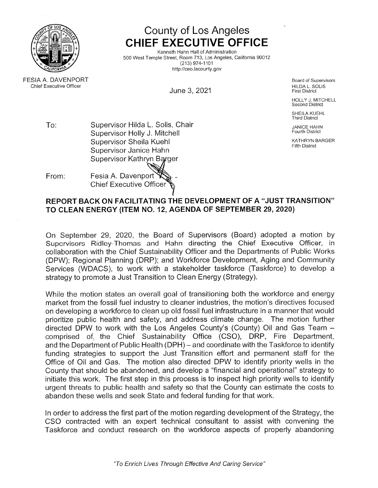

County of Los Angeles CHIEF EXECUTIVE OFFICE

Kenneth Hahn Hall of Administration 500 West Temple Street, Room 713, Los Angeles, California <sup>90012</sup> (213) 974-110<sup>.</sup> http://ceo.lacounty.gov

e Officer the contract of the contract of the contract of the contract of the contract of the contract of the contract of the contract of the contract of the contract of the contract of the contract of the contract of the L. SOLIS June 3, <sup>2021</sup> First District

HOLLY J. MITCHELL Second District

SHEILA KUEHL<br><sup>Third</sup> District Third District

To:Supervisor Hilda L. Solis, Chair JANICE HAHN JANICE HAHN<br>Contract Library January 1986 Supervisor Holly J. Mitchell Fourth District Fourth District Supervisor Sheilaa Kuehl Katharyn Barger (Katharyn Barger Katharyn Barger Katharyn Barger Katharyn Barger (Katharyn Barger Kath<br>An India **District Supervisor Janice Hahn**<br>Supervisor Janice Hahn Supervisor Kathryn Barger

From: $\Gamma$ : Fesia A. Davenport Chief Executive Officer~

# REPORT BACK ON FACILITATING THE DEVELOPMENT OF A "JUST TRANSITION"<br>TO CLEAN ENERCY (ITEM NO. 12, ACENDA OF SERTEMBER 29, 2020) TO CLEAN ENERGY (ITEM NO. 12, AGENDA OF SEPTEMBER 29, 2020)

On September 29, 2020, the Board of Supervisors (Board) adopted <sup>a</sup> motion by Supervisors Ridley-Thomas and Hahn directing the Chief Executive Officer, in collaboration with the Chief Sustainability Officer and the Departments of Public Works (DPW); Regional Planning (DRP); and Workforce Development, Aging and Community Services (WDACS), to work with <sup>a</sup> stakeholder taskforce (Taskforce) to develop <sup>a</sup> strategy to promote <sup>a</sup> Just Transition to Clean Energy (Strategy).

While the motion states an overall goal of transitioning both the workforce and energy market from the fossil fuel industry to cleaner industries, the motion's directives focused<br>on developing a workforce to clean up old fossil fuel infrastructure in a manner that would on developing <sup>a</sup> workforce to clean up old fossil fuel infrastructure in <sup>a</sup> manner that would prioritize public health and safety, and address climate change. The motion further directed DPW to work with the Los Angeles County's (County) Oil and Gas Team — comprised of. the Chief Sustainability Office (CSO), DRP, Fire Department, and the Department of Public Health (DPH) — and coordinate with the Taskforce to identify funding strategies to support the Just Transition effort and permanent staff for the Office of Oil and Gas. The motion also directed DPW to identify priority wells in the<br>County that should be abandoned and develon a "financial and operational" strategy to County that should be abandoned, and develop <sup>a</sup> "financial and operational" strategy to initiate this work. The first step in this process is to inspect high priority wells to identify urgent threats to public health and safety so that the County can estimate the costs to abandon these wells and seek State and federal funding for that work.

In order to address the first part of the motion regarding development of the Strategy, the CSO contracted with an expert technical consultant to assist with convening the<br>Taskforce and conduct research on the workforce aspects of properly abandoning Taskforce and conduct research on the workforce aspects of properly abandoning

**FESIA A. DAVENPORT**  A. DAVENPORT Board of Supervisors Chief Executive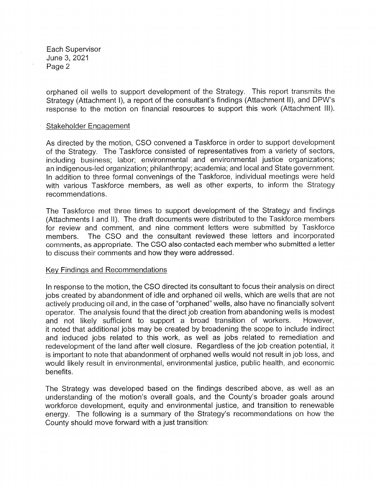Each Supervisor June 3, 2021<br>P Page 2

orphaned oil wells to support development of the Strategy. This report transmits the Strategy (Attachment I), <sup>a</sup> report of the consultant's findings (Attachment II), and DPW's response to the motion on financial resources to support this work (Attachment Ill).

### Stakeholder Engagement

As directed by the motion, CSO As directed by the motion, CSO convened a Taskforce in order to support development<br>of the Strategy. The Taskforce consisted of representatives from a variety of sectors,<br>. <sup>a</sup> variety of sectors, including business; labor; environmental and environmental justice organizations; an indigenous-led organization; philanthropy; academia; and local and State government. In addition to three formal convenings of the Taskforce, individual meetings were held with various Taskforce members, as well as other experts, to inform the Strategy<br>recommendations recommendations.

The Taskforce met three times to support development of the Strategy and findings (Attachments <sup>I</sup> and II). The draft documents were distributed to the Taskforce members for review and comment, and nine comment letters were submitted by Taskforce members.. The CSO and the consultant reviewed these letters and incorporated:<br>s as appropriate. The CSO also contacted each member who submitted a letter comments, as appropriate. The CSO also contacted each member who submitted <sup>a</sup> letter to discuss their comments and how they were addressed.

# Key Findings and Recommendations

In response to the motion, the CSO directed its consultant to focus their analysis on direct<br>lobe created by abandonment of idle and ernhaned oil wells, which are wells that are not jobs created by abandonment of idle and orphaned oil wells, which are wells that are not actively producing oil and, in the case of "orphaned" wells, also have no financially solvent operator. The analysis found that the direct job creation from abandoning wells is modest<br>and \_pot\_likely\_sufficient\_ to\_support\_a\_\_broad\_transition\_of\_workers\_\_\_However and not likely sufficient to support <sup>a</sup> broad transition of workers. However, it noted that additional jobs may be created by broadening the scope to include indirect and induced jobs related to this work, as well as jobs related to remediation and redevelopment of the land after well closure. Regardless of the job creation potential, it is important to note that abandonment of orphaned wells would not result in job loss, and would likely result in environmental, environmental justice, public health, and economic benefits.

The Strategy was developed based on the findings described above, as well as an understanding of the motion's overall goals, and the County's broader goals arounc workforce development, equity and environmental justice, and transition to renewable energy. The following is a summary of the Strategy's recommendations on how the<br>County should move forward with a just transition: County should move forward with <sup>a</sup> just transition: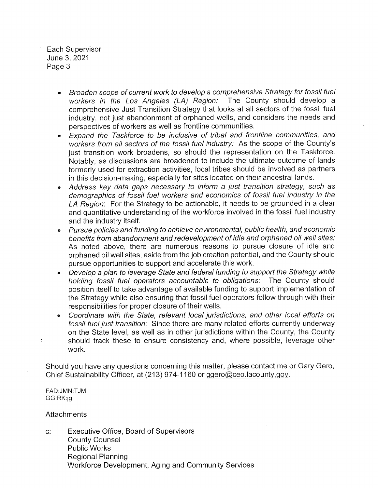Each Supervisor June 3, 2021<br>P Page 3

- • Broaden scope of current work to develop a comprehensive Strategy for fossil fuel workers in the Los Angeles (LA) Region: The County should develop <sup>a</sup> comprehensive Just Transition Strategy that looks at all sectors of the fossil fuel industry, not just abandonment of orphaned wells, and considers the needs and perspectives of workers as well as frontline communities.
- o Expand the Taskforce to be inclusive of tribal and frontline communities, and workers from all sectors of the fossil fuel industry: As the scope of the County's<br>just transition work broadens, so should the representation on the Taskforce just transition work broadens, so should the representation on the Taskforce. Notably, as discussions are broadened to include the ultimate outcome of lands formerly used for extraction activities, local tribes should be involved as partners in this decision-making, especially for sites located on their ancestral lands.
- • Address key data gaps necessary to informa just transition strategy, such as demographics of fossil fuel workers and economics of fossil fuel industry in the LA Region: For the Strategy to be actionable, it needs to be grounded in a clear<br>and quantitative understanding of the werkfores involved in the fossil fuel industry and quantitative understanding of the workforce involved in the fossil fuel industry and the industry itself.
- • Pursue policies and funding to achieve environmental, public health, and economic benefits from abandonment and redevelopment of idle and orphaned oil well sites.<br>As, noted, above, there are numerous, reasons, to pursue closure of idle, and As noted above, there are numerous reasons to pursue closure of idle and<br>As noted above, there are numerous reasons to pursue closure of idle and orphaned oil well sites, aside from the job creation potential, and the County should<br>pursue opportunities to support and accelerate this work pursue opportunities to support and accelerate this work.
- o• Develop a plan to leverage State and federal funding to support the Strategy while holding fossil fuel operators accountable to obligations: The County should position itself to take advantage of available funding to support implementation of the Strategy while also ensuring that fossil fuel operators follow through with their<br>reaponoibilities for proper closure of their wells responsibilities for proper closure of their wells.
- Coordinate with the State, relevant local jurisdictions, and other local efforts on fossil fuel just transition: Since there are many related efforts currently underway on the State level, as well as in other jurisdictions within the County, the County should track these to ensure consistency and, where possible, leverage other work.

Should you have any questions concerning this matter, please contact me or Gary Gero, Chief Sustainability Officer, at (213) 974-1160 or <u>ggero@ceo.lacounty.gov</u>

FAD:JMN:TJM<br>CO:DK:in GG:RK:jg

**Attachments** 

c: Executive Office, Board of Supervisors County Counsel Public Works Regional PlanningWorkforce Development, Aging and Community Services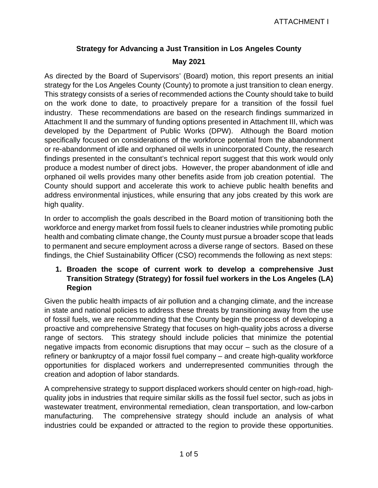# **Strategy for Advancing a Just Transition in Los Angeles County May 2021**

As directed by the Board of Supervisors' (Board) motion, this report presents an initial strategy for the Los Angeles County (County) to promote a just transition to clean energy. This strategy consists of a series of recommended actions the County should take to build on the work done to date, to proactively prepare for a transition of the fossil fuel industry. These recommendations are based on the research findings summarized in Attachment II and the summary of funding options presented in Attachment III, which was developed by the Department of Public Works (DPW). Although the Board motion specifically focused on considerations of the workforce potential from the abandonment or re-abandonment of idle and orphaned oil wells in unincorporated County, the research findings presented in the consultant's technical report suggest that this work would only produce a modest number of direct jobs. However, the proper abandonment of idle and orphaned oil wells provides many other benefits aside from job creation potential. The County should support and accelerate this work to achieve public health benefits and address environmental injustices, while ensuring that any jobs created by this work are high quality.

In order to accomplish the goals described in the Board motion of transitioning both the workforce and energy market from fossil fuels to cleaner industries while promoting public health and combating climate change, the County must pursue a broader scope that leads to permanent and secure employment across a diverse range of sectors. Based on these findings, the Chief Sustainability Officer (CSO) recommends the following as next steps:

### **1. Broaden the scope of current work to develop a comprehensive Just Transition Strategy (Strategy) for fossil fuel workers in the Los Angeles (LA) Region**

Given the public health impacts of air pollution and a changing climate, and the increase in state and national policies to address these threats by transitioning away from the use of fossil fuels, we are recommending that the County begin the process of developing a proactive and comprehensive Strategy that focuses on high-quality jobs across a diverse range of sectors. This strategy should include policies that minimize the potential negative impacts from economic disruptions that may occur – such as the closure of a refinery or bankruptcy of a major fossil fuel company – and create high-quality workforce opportunities for displaced workers and underrepresented communities through the creation and adoption of labor standards.

A comprehensive strategy to support displaced workers should center on high-road, highquality jobs in industries that require similar skills as the fossil fuel sector, such as jobs in wastewater treatment, environmental remediation, clean transportation, and low-carbon manufacturing. The comprehensive strategy should include an analysis of what industries could be expanded or attracted to the region to provide these opportunities.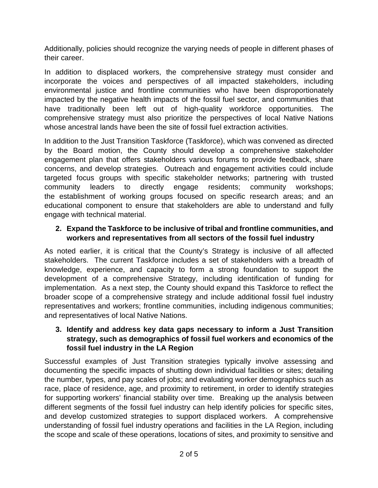Additionally, policies should recognize the varying needs of people in different phases of their career.

In addition to displaced workers, the comprehensive strategy must consider and incorporate the voices and perspectives of all impacted stakeholders, including environmental justice and frontline communities who have been disproportionately impacted by the negative health impacts of the fossil fuel sector, and communities that have traditionally been left out of high-quality workforce opportunities. The comprehensive strategy must also prioritize the perspectives of local Native Nations whose ancestral lands have been the site of fossil fuel extraction activities.

In addition to the Just Transition Taskforce (Taskforce), which was convened as directed by the Board motion, the County should develop a comprehensive stakeholder engagement plan that offers stakeholders various forums to provide feedback, share concerns, and develop strategies. Outreach and engagement activities could include targeted focus groups with specific stakeholder networks; partnering with trusted community leaders to directly engage residents; community workshops; the establishment of working groups focused on specific research areas; and an educational component to ensure that stakeholders are able to understand and fully engage with technical material.

### **2. Expand the Taskforce to be inclusive of tribal and frontline communities, and workers and representatives from all sectors of the fossil fuel industry**

As noted earlier, it is critical that the County's Strategy is inclusive of all affected stakeholders. The current Taskforce includes a set of stakeholders with a breadth of knowledge, experience, and capacity to form a strong foundation to support the development of a comprehensive Strategy, including identification of funding for implementation. As a next step, the County should expand this Taskforce to reflect the broader scope of a comprehensive strategy and include additional fossil fuel industry representatives and workers; frontline communities, including indigenous communities; and representatives of local Native Nations.

### **3. Identify and address key data gaps necessary to inform a Just Transition strategy, such as demographics of fossil fuel workers and economics of the fossil fuel industry in the LA Region**

Successful examples of Just Transition strategies typically involve assessing and documenting the specific impacts of shutting down individual facilities or sites; detailing the number, types, and pay scales of jobs; and evaluating worker demographics such as race, place of residence, age, and proximity to retirement, in order to identify strategies for supporting workers' financial stability over time. Breaking up the analysis between different segments of the fossil fuel industry can help identify policies for specific sites, and develop customized strategies to support displaced workers. A comprehensive understanding of fossil fuel industry operations and facilities in the LA Region, including the scope and scale of these operations, locations of sites, and proximity to sensitive and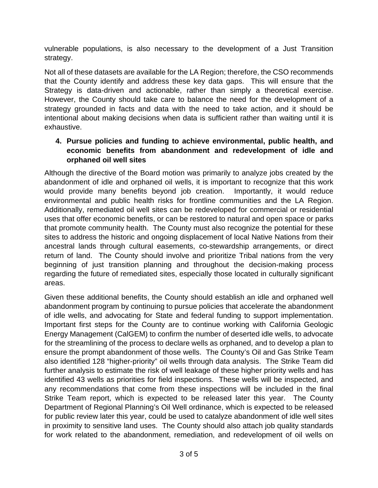vulnerable populations, is also necessary to the development of a Just Transition strategy.

Not all of these datasets are available for the LA Region; therefore, the CSO recommends that the County identify and address these key data gaps. This will ensure that the Strategy is data-driven and actionable, rather than simply a theoretical exercise. However, the County should take care to balance the need for the development of a strategy grounded in facts and data with the need to take action, and it should be intentional about making decisions when data is sufficient rather than waiting until it is exhaustive.

### **4. Pursue policies and funding to achieve environmental, public health, and economic benefits from abandonment and redevelopment of idle and orphaned oil well sites**

Although the directive of the Board motion was primarily to analyze jobs created by the abandonment of idle and orphaned oil wells, it is important to recognize that this work would provide many benefits beyond job creation. Importantly, it would reduce environmental and public health risks for frontline communities and the LA Region. Additionally, remediated oil well sites can be redeveloped for commercial or residential uses that offer economic benefits, or can be restored to natural and open space or parks that promote community health. The County must also recognize the potential for these sites to address the historic and ongoing displacement of local Native Nations from their ancestral lands through cultural easements, co-stewardship arrangements, or direct return of land. The County should involve and prioritize Tribal nations from the very beginning of just transition planning and throughout the decision-making process regarding the future of remediated sites, especially those located in culturally significant areas.

Given these additional benefits, the County should establish an idle and orphaned well abandonment program by continuing to pursue policies that accelerate the abandonment of idle wells, and advocating for State and federal funding to support implementation. Important first steps for the County are to continue working with California Geologic Energy Management (CalGEM) to confirm the number of deserted idle wells, to advocate for the streamlining of the process to declare wells as orphaned, and to develop a plan to ensure the prompt abandonment of those wells. The County's Oil and Gas Strike Team also identified 128 "higher-priority" oil wells through data analysis. The Strike Team did further analysis to estimate the risk of well leakage of these higher priority wells and has identified 43 wells as priorities for field inspections. These wells will be inspected, and any recommendations that come from these inspections will be included in the final Strike Team report, which is expected to be released later this year. The County Department of Regional Planning's Oil Well ordinance, which is expected to be released for public review later this year, could be used to catalyze abandonment of idle well sites in proximity to sensitive land uses. The County should also attach job quality standards for work related to the abandonment, remediation, and redevelopment of oil wells on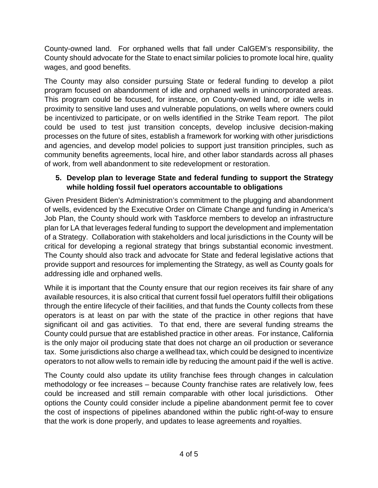County-owned land. For orphaned wells that fall under CalGEM's responsibility, the County should advocate for the State to enact similar policies to promote local hire, quality wages, and good benefits.

The County may also consider pursuing State or federal funding to develop a pilot program focused on abandonment of idle and orphaned wells in unincorporated areas. This program could be focused, for instance, on County-owned land, or idle wells in proximity to sensitive land uses and vulnerable populations, on wells where owners could be incentivized to participate, or on wells identified in the Strike Team report. The pilot could be used to test just transition concepts, develop inclusive decision-making processes on the future of sites, establish a framework for working with other jurisdictions and agencies, and develop model policies to support just transition principles, such as community benefits agreements, local hire, and other labor standards across all phases of work, from well abandonment to site redevelopment or restoration.

### **5. Develop plan to leverage State and federal funding to support the Strategy while holding fossil fuel operators accountable to obligations**

Given President Biden's Administration's commitment to the plugging and abandonment of wells, evidenced by the Executive Order on Climate Change and funding in America's Job Plan, the County should work with Taskforce members to develop an infrastructure plan for LA that leverages federal funding to support the development and implementation of a Strategy. Collaboration with stakeholders and local jurisdictions in the County will be critical for developing a regional strategy that brings substantial economic investment. The County should also track and advocate for State and federal legislative actions that provide support and resources for implementing the Strategy, as well as County goals for addressing idle and orphaned wells.

While it is important that the County ensure that our region receives its fair share of any available resources, it is also critical that current fossil fuel operators fulfill their obligations through the entire lifecycle of their facilities, and that funds the County collects from these operators is at least on par with the state of the practice in other regions that have significant oil and gas activities. To that end, there are several funding streams the County could pursue that are established practice in other areas. For instance, California is the only major oil producing state that does not charge an oil production or severance tax. Some jurisdictions also charge a wellhead tax, which could be designed to incentivize operators to not allow wells to remain idle by reducing the amount paid if the well is active.

The County could also update its utility franchise fees through changes in calculation methodology or fee increases – because County franchise rates are relatively low, fees could be increased and still remain comparable with other local jurisdictions. Other options the County could consider include a pipeline abandonment permit fee to cover the cost of inspections of pipelines abandoned within the public right-of-way to ensure that the work is done properly, and updates to lease agreements and royalties.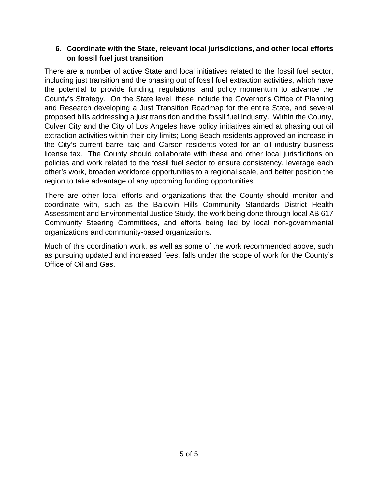### **6. Coordinate with the State, relevant local jurisdictions, and other local efforts on fossil fuel just transition**

There are a number of active State and local initiatives related to the fossil fuel sector, including just transition and the phasing out of fossil fuel extraction activities, which have the potential to provide funding, regulations, and policy momentum to advance the County's Strategy. On the State level, these include the Governor's Office of Planning and Research developing a Just Transition Roadmap for the entire State, and several proposed bills addressing a just transition and the fossil fuel industry. Within the County, Culver City and the City of Los Angeles have policy initiatives aimed at phasing out oil extraction activities within their city limits; Long Beach residents approved an increase in the City's current barrel tax; and Carson residents voted for an oil industry business license tax. The County should collaborate with these and other local jurisdictions on policies and work related to the fossil fuel sector to ensure consistency, leverage each other's work, broaden workforce opportunities to a regional scale, and better position the region to take advantage of any upcoming funding opportunities.

There are other local efforts and organizations that the County should monitor and coordinate with, such as the Baldwin Hills Community Standards District Health Assessment and Environmental Justice Study, the work being done through local AB 617 Community Steering Committees, and efforts being led by local non-governmental organizations and community-based organizations.

Much of this coordination work, as well as some of the work recommended above, such as pursuing updated and increased fees, falls under the scope of work for the County's Office of Oil and Gas.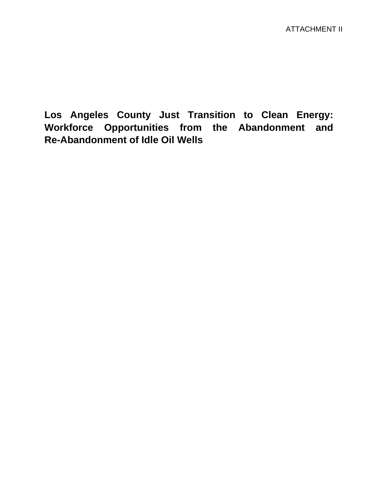**Los Angeles County Just Transition to Clean Energy: Workforce Opportunities from the Abandonment and Re-Abandonment of Idle Oil Wells**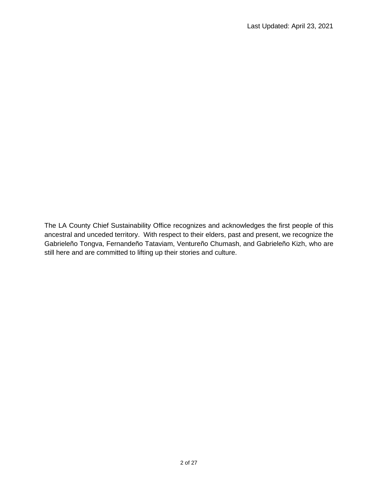The LA County Chief Sustainability Office recognizes and acknowledges the first people of this ancestral and unceded territory. With respect to their elders, past and present, we recognize the Gabrieleño Tongva, Fernandeño Tataviam, Ventureño Chumash, and Gabrieleño Kizh, who are still here and are committed to lifting up their stories and culture.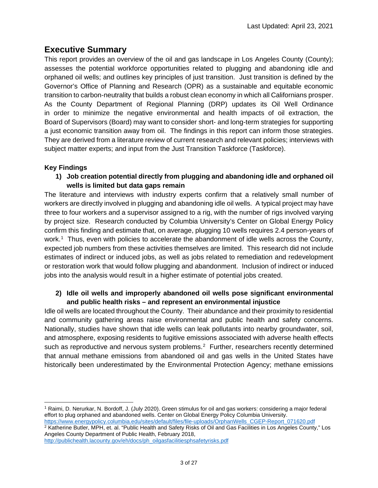### <span id="page-10-2"></span>**Executive Summary**

This report provides an overview of the oil and gas landscape in Los Angeles County (County); assesses the potential workforce opportunities related to plugging and abandoning idle and orphaned oil wells; and outlines key principles of just transition. Just transition is defined by the Governor's Office of Planning and Research (OPR) as a sustainable and equitable economic transition to carbon-neutrality that builds a robust clean economy in which all Californians prosper. As the County Department of Regional Planning (DRP) updates its Oil Well Ordinance in order to minimize the negative environmental and health impacts of oil extraction, the Board of Supervisors (Board) may want to consider short- and long-term strategies for supporting a just economic transition away from oil. The findings in this report can inform those strategies. They are derived from a literature review of current research and relevant policies; interviews with subject matter experts; and input from the Just Transition Taskforce (Taskforce).

#### **Key Findings**

**1) Job creation potential directly from plugging and abandoning idle and orphaned oil wells is limited but data gaps remain**

The literature and interviews with industry experts confirm that a relatively small number of workers are directly involved in plugging and abandoning idle oil wells. A typical project may have three to four workers and a supervisor assigned to a rig, with the number of rigs involved varying by project size. Research conducted by Columbia University's Center on Global Energy Policy confirm this finding and estimate that, on average, plugging 10 wells requires 2.4 person-years of work.[1](#page-10-0) Thus, even with policies to accelerate the abandonment of idle wells across the County, expected job numbers from these activities themselves are limited. This research did not include estimates of indirect or induced jobs, as well as jobs related to remediation and redevelopment or restoration work that would follow plugging and abandonment. Inclusion of indirect or induced jobs into the analysis would result in a higher estimate of potential jobs created.

#### **2) Idle oil wells and improperly abandoned oil wells pose significant environmental and public health risks – and represent an environmental injustice**

Idle oil wells are located throughout the County. Their abundance and their proximity to residential and community gathering areas raise environmental and public health and safety concerns. Nationally, studies have shown that idle wells can leak pollutants into nearby groundwater, soil, and atmosphere, exposing residents to fugitive emissions associated with adverse health effects such as reproductive and nervous system problems.<sup>[2](#page-10-1)</sup> Further, researchers recently determined that annual methane emissions from abandoned oil and gas wells in the United States have historically been underestimated by the Environmental Protection Agency; methane emissions

<span id="page-10-0"></span><sup>1</sup> Raimi, D. Nerurkar, N. Bordoff, J. (July 2020). Green stimulus for oil and gas workers: considering a major federal effort to plug orphaned and abandoned wells. Center on Global Energy Policy Columbia University. [https://www.energypolicy.columbia.edu/sites/default/files/file-uploads/OrphanWells\\_CGEP-Report\\_071620.pdf](https://www.energypolicy.columbia.edu/sites/default/files/file-uploads/OrphanWells_CGEP-Report_071620.pdf)

<span id="page-10-1"></span><sup>2</sup> Katherine Butler, MPH, et. al. "Public Health and Safety Risks of Oil and Gas Facilities in Los Angeles County," Los Angeles County Department of Public Health, February 2018,

[http://publichealth.lacounty.gov/eh/docs/ph\\_oilgasfacilitiesphsafetyrisks.pdf](http://publichealth.lacounty.gov/eh/docs/ph_oilgasfacilitiesphsafetyrisks.pdf)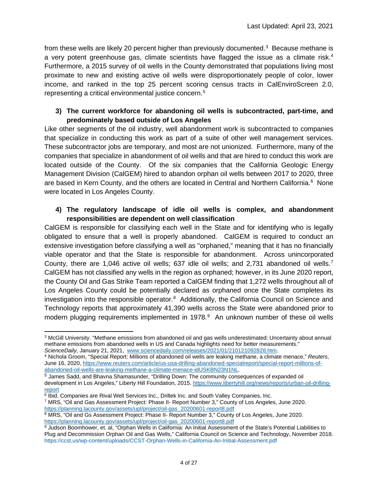from these wells are likely 20 percent higher than previously documented.<sup>[3](#page-11-0)</sup> Because methane is a very potent greenhouse gas, climate scientists have flagged the issue as a climate risk.<sup>[4](#page-11-1)</sup> Furthermore, a 2015 survey of oil wells in the County demonstrated that populations living most proximate to new and existing active oil wells were disproportionately people of color, lower income, and ranked in the top 25 percent scoring census tracts in CalEnviroScreen 2.0, representing a critical environmental justice concern.[5](#page-11-2)

#### **3) The current workforce for abandoning oil wells is subcontracted, part-time, and predominately based outside of Los Angeles**

Like other segments of the oil industry, well abandonment work is subcontracted to companies that specialize in conducting this work as part of a suite of other well management services. These subcontractor jobs are temporary, and most are not unionized. Furthermore, many of the companies that specialize in abandonment of oil wells and that are hired to conduct this work are located outside of the County. Of the six companies that the California Geologic Energy Management Division (CalGEM) hired to abandon orphan oil wells between 2017 to 2020, three are based in Kern County, and the others are located in Central and Northern California.<sup>[6](#page-11-3)</sup> None were located in Los Angeles County.

### **4) The regulatory landscape of idle oil wells is complex, and abandonment responsibilities are dependent on well classification**

CalGEM is responsible for classifying each well in the State and for identifying who is legally obligated to ensure that a well is properly abandoned. CalGEM is required to conduct an extensive investigation before classifying a well as "orphaned," meaning that it has no financially viable operator and that the State is responsible for abandonment. Across unincorporated County, there are 1,046 active oil wells; 637 idle oil wells; and 2,731 abandoned oil wells.[7](#page-11-4) CalGEM has not classified any wells in the region as orphaned; however, in its June 2020 report, the County Oil and Gas Strike Team reported a CalGEM finding that 1,272 wells throughout all of Los Angeles County could be potentially declared as orphaned once the State completes its investigation into the responsible operator.<sup>[8](#page-11-5)</sup> Additionally, the California Council on Science and Technology reports that approximately 41,390 wells across the State were abandoned prior to modern plugging requirements implemented in 1[9](#page-11-6)78.<sup>9</sup> An unknown number of these oil wells

<sup>4</sup> Nichola Groom. "Special Report: Millions of abandoned oil wells are leaking methane, a climate menace," *Reuters*,

<span id="page-11-0"></span><sup>3</sup> McGill University. "Methane emissions from abandoned oil and gas wells underestimated: Uncertainty about annual methane emissions from abandoned wells in US and Canada highlights need for better measurements."<br>ScienceDaily, January 21, 2021, www.sciencedaily.com/releases/2021/01/210121092828.htm.

<span id="page-11-1"></span>June 16, 2020, https://www.reuters.com/article/us-usa-drilling-abandoned-specialreport/special-report-millions-of-<br>abandoned-oil-wells-are-leaking-methane-a-climate-menace-idUSKBN23N1NL.

<span id="page-11-2"></span> $\overline{5}$  James Sadd, and Bhavna Shamasunder, "Drilling Down: The community consequences of expanded oil development in Los Angeles," Liberty Hill Foundation, 2015[. https://www.libertyhill.org/news/reports/urban-oil-drilling](https://www.libertyhill.org/news/reports/urban-oil-drilling-report)[report](https://www.libertyhill.org/news/reports/urban-oil-drilling-report)

<span id="page-11-3"></span><sup>6</sup> Ibid. Companies are Rival Well Services Inc., Driltek Inc. and South Valley Companies, Inc.

<span id="page-11-4"></span><sup>7</sup> MRS, "Oil and Gas Assessment Project: Phase II- Report Number 3," County of Los Angeles, June 2020. [https://planning.lacounty.gov/assets/upl/project/oil-gas\\_20200601-report8.pdf](https://planning.lacounty.gov/assets/upl/project/oil-gas_20200601-report8.pdf)

<span id="page-11-5"></span><sup>8</sup> MRS, "Oil and Gs Assessment Project: Phase II- Report Number 3," County of Los Angeles, June 2020. [https://planning.lacounty.gov/assets/upl/project/oil-gas\\_20200601-report8.pdf](https://planning.lacounty.gov/assets/upl/project/oil-gas_20200601-report8.pdf)

<span id="page-11-6"></span><sup>9</sup> Judson Boomhower, et. al, "Orphan Wells in California: An Initial Assessment of the State's Potential Liabilities to Plug and Decommission Orphan Oil and Gas Wells," California Council on Science and Technology, November 2018. https://ccst.us/wp-content/uploads/CCST-Orphan-Wells-in-California-An-Initial-Assessment.pdf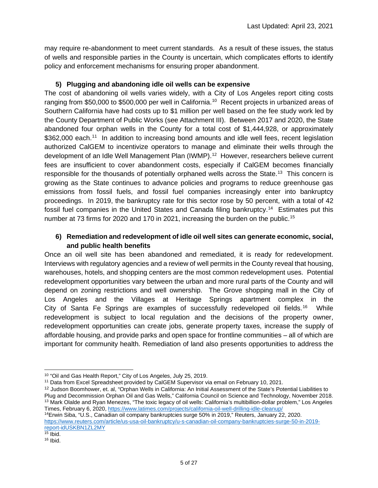may require re-abandonment to meet current standards. As a result of these issues, the status of wells and responsible parties in the County is uncertain, which complicates efforts to identify policy and enforcement mechanisms for ensuring proper abandonment.

### **5) Plugging and abandoning idle oil wells can be expensive**

The cost of abandoning oil wells varies widely, with a City of Los Angeles report citing costs ranging from \$50,000 to \$500,000 per well in California.<sup>[10](#page-12-0)</sup> Recent projects in urbanized areas of Southern California have had costs up to \$1 million per well based on the fee study work led by the County Department of Public Works (see Attachment III). Between 2017 and 2020, the State abandoned four orphan wells in the County for a total cost of \$1,444,928, or approximately \$362,000 each.<sup>[11](#page-12-1)</sup> In addition to increasing bond amounts and idle well fees, recent legislation authorized CalGEM to incentivize operators to manage and eliminate their wells through the development of an Idle Well Management Plan (IWMP).<sup>[12](#page-12-2)</sup> However, researchers believe current fees are insufficient to cover abandonment costs, especially if CalGEM becomes financially responsible for the thousands of potentially orphaned wells across the State.<sup>[13](#page-12-3)</sup> This concern is growing as the State continues to advance policies and programs to reduce greenhouse gas emissions from fossil fuels, and fossil fuel companies increasingly enter into bankruptcy proceedings. In 2019, the bankruptcy rate for this sector rose by 50 percent, with a total of 42 fossil fuel companies in the United States and Canada filing bankruptcy.<sup>[14](#page-12-4)</sup> Estimates put this number at 73 firms for 2020 and 170 in 2021, increasing the burden on the public. [15](#page-12-5)

### **6) Remediation and redevelopment of idle oil well sites can generate economic, social, and public health benefits**

Once an oil well site has been abandoned and remediated, it is ready for redevelopment. Interviews with regulatory agencies and a review of well permits in the County reveal that housing, warehouses, hotels, and shopping centers are the most common redevelopment uses. Potential redevelopment opportunities vary between the urban and more rural parts of the County and will depend on zoning restrictions and well ownership. The Grove shopping mall in the City of Los Angeles and the Villages at Heritage Springs apartment complex in the City of Santa Fe Springs are examples of successfully redeveloped oil fields.<sup>[16](#page-12-6)</sup> While redevelopment is subject to local regulation and the decisions of the property owner, redevelopment opportunities can create jobs, generate property taxes, increase the supply of affordable housing, and provide parks and open space for frontline communities – all of which are important for community health. Remediation of land also presents opportunities to address the

<span id="page-12-4"></span>14Erwin Siba, "U.S., Canadian oil company bankruptcies surge 50% in 2019," Reuters, January 22, 2020. [https://www.reuters.com/article/us-usa-oil-bankruptcy/u-s-canadian-oil-company-bankruptcies-surge-50-in-2019](https://www.reuters.com/article/us-usa-oil-bankruptcy/u-s-canadian-oil-company-bankruptcies-surge-50-in-2019-report-idUSKBN1ZL2MY) [report-idUSKBN1ZL2MY](https://www.reuters.com/article/us-usa-oil-bankruptcy/u-s-canadian-oil-company-bankruptcies-surge-50-in-2019-report-idUSKBN1ZL2MY)

<span id="page-12-1"></span><span id="page-12-0"></span><sup>&</sup>lt;sup>10</sup> "Oil and Gas Health Report," City of Los Angeles, July 25, 2019.<br><sup>11</sup> Data from Excel Spreadsheet provided by CalGEM Supervisor via email on February 10, 2021.

<span id="page-12-3"></span><span id="page-12-2"></span><sup>&</sup>lt;sup>12</sup> Judson Boomhower, et. al, "Orphan Wells in California: An Initial Assessment of the State's Potential Liabilities to Plug and Decommission Orphan Oil and Gas Wells," California Council on Science and Technology, November 2018. <sup>13</sup> Mark Olalde and Ryan Menezes, "The toxic legacy of oil wells: California's multibillion-dollar problem," Los Angeles Times, February 6, 2020,<https://www.latimes.com/projects/california-oil-well-drilling-idle-cleanup/>

 $15$  Ibid.

<span id="page-12-6"></span><span id="page-12-5"></span> $16$  Ibid.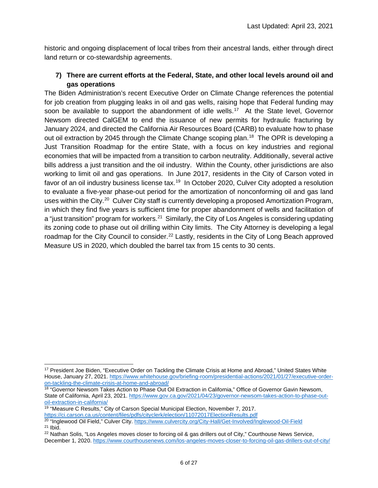historic and ongoing displacement of local tribes from their ancestral lands, either through direct land return or co-stewardship agreements.

### **7) There are current efforts at the Federal, State, and other local levels around oil and gas operations**

The Biden Administration's recent Executive Order on Climate Change references the potential for job creation from plugging leaks in oil and gas wells, raising hope that Federal funding may soon be available to support the abandonment of idle wells.<sup>[17](#page-13-0)</sup> At the State level, Governor Newsom directed CalGEM to end the issuance of new permits for hydraulic fracturing by January 2024, and directed the California Air Resources Board (CARB) to evaluate how to phase out oil extraction by 2045 through the Climate Change scoping plan.<sup>[18](#page-13-1)</sup> The OPR is developing a Just Transition Roadmap for the entire State, with a focus on key industries and regional economies that will be impacted from a transition to carbon neutrality. Additionally, several active bills address a just transition and the oil industry. Within the County, other jurisdictions are also working to limit oil and gas operations. In June 2017, residents in the City of Carson voted in favor of an oil industry business license tax.<sup>[19](#page-13-2)</sup> In October 2020, Culver City adopted a resolution to evaluate a five-year phase-out period for the amortization of nonconforming oil and gas land uses within the City.<sup>[20](#page-13-3)</sup> Culver City staff is currently developing a proposed Amortization Program, in which they find five years is sufficient time for proper abandonment of wells and facilitation of a "just transition" program for workers.<sup>21</sup> Similarly, the City of Los Angeles is considering updating its zoning code to phase out oil drilling within City limits. The City Attorney is developing a legal roadmap for the City Council to consider.<sup>[22](#page-13-5)</sup> Lastly, residents in the City of Long Beach approved Measure US in 2020, which doubled the barrel tax from 15 cents to 30 cents.

<span id="page-13-0"></span><sup>&</sup>lt;sup>17</sup> President Joe Biden, "Executive Order on Tackling the Climate Crisis at Home and Abroad," United States White House, January 27, 2021[. https://www.whitehouse.gov/briefing-room/presidential-actions/2021/01/27/executive-order](https://www.whitehouse.gov/briefing-room/presidential-actions/2021/01/27/executive-order-on-tackling-the-climate-crisis-at-home-and-abroad/)[on-tackling-the-climate-crisis-at-home-and-abroad/](https://www.whitehouse.gov/briefing-room/presidential-actions/2021/01/27/executive-order-on-tackling-the-climate-crisis-at-home-and-abroad/)

<span id="page-13-1"></span><sup>&</sup>lt;sup>18</sup> "Governor Newsom Takes Action to Phase Out Oil Extraction in California," Office of Governor Gavin Newsom, State of California, April 23, 2021. [https://www.gov.ca.gov/2021/04/23/governor-newsom-takes-action-to-phase-out](https://www.gov.ca.gov/2021/04/23/governor-newsom-takes-action-to-phase-out-oil-extraction-in-california/)[oil-extraction-in-california/](https://www.gov.ca.gov/2021/04/23/governor-newsom-takes-action-to-phase-out-oil-extraction-in-california/)

<span id="page-13-2"></span><sup>&</sup>lt;sup>19</sup> "Measure C Results," City of Carson Special Municipal Election, November 7, 2017. <https://ci.carson.ca.us/content/files/pdfs/cityclerk/election/11072017ElectionResults.pdf>

<span id="page-13-3"></span><sup>&</sup>lt;sup>20</sup> "Inglewood Oil Field," Culver City[. https://www.culvercity.org/City-Hall/Get-Involved/Inglewood-Oil-Field](https://www.culvercity.org/City-Hall/Get-Involved/Inglewood-Oil-Field)  $21$  Ibid.

<span id="page-13-5"></span><span id="page-13-4"></span><sup>&</sup>lt;sup>22</sup> Nathan Solis, "Los Angeles moves closer to forcing oil & gas drillers out of City," Courthouse News Service, December 1, 2020.<https://www.courthousenews.com/los-angeles-moves-closer-to-forcing-oil-gas-drillers-out-of-city/>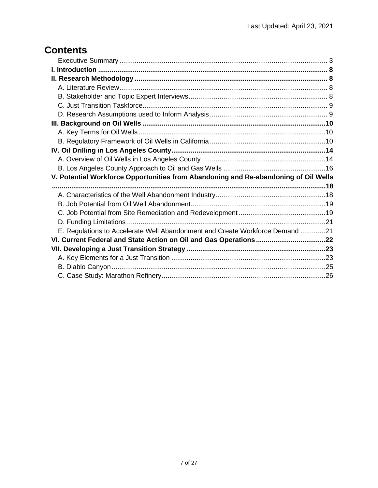# **Contents**

| V. Potential Workforce Opportunities from Abandoning and Re-abandoning of Oil Wells |  |
|-------------------------------------------------------------------------------------|--|
|                                                                                     |  |
|                                                                                     |  |
|                                                                                     |  |
|                                                                                     |  |
|                                                                                     |  |
| E. Regulations to Accelerate Well Abandonment and Create Workforce Demand 21        |  |
|                                                                                     |  |
|                                                                                     |  |
|                                                                                     |  |
|                                                                                     |  |
|                                                                                     |  |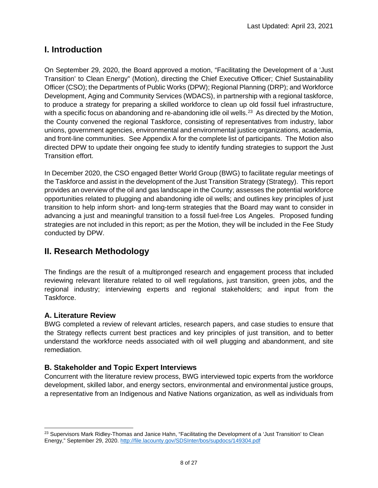# <span id="page-15-0"></span>**I. Introduction**

On September 29, 2020, the Board approved a motion, "Facilitating the Development of a 'Just Transition' to Clean Energy" (Motion), directing the Chief Executive Officer; Chief Sustainability Officer (CSO); the Departments of Public Works (DPW); Regional Planning (DRP); and Workforce Development, Aging and Community Services (WDACS), in partnership with a regional taskforce, to produce a strategy for preparing a skilled workforce to clean up old fossil fuel infrastructure, with a specific focus on abandoning and re-abandoning idle oil wells.<sup>[23](#page-15-4)</sup> As directed by the Motion, the County convened the regional Taskforce, consisting of representatives from industry, labor unions, government agencies, environmental and environmental justice organizations, academia, and front-line communities. See Appendix A for the complete list of participants. The Motion also directed DPW to update their ongoing fee study to identify funding strategies to support the Just Transition effort.

In December 2020, the CSO engaged Better World Group (BWG) to facilitate regular meetings of the Taskforce and assist in the development of the Just Transition Strategy (Strategy). This report provides an overview of the oil and gas landscape in the County; assesses the potential workforce opportunities related to plugging and abandoning idle oil wells; and outlines key principles of just transition to help inform short- and long-term strategies that the Board may want to consider in advancing a just and meaningful transition to a fossil fuel-free Los Angeles. Proposed funding strategies are not included in this report; as per the Motion, they will be included in the Fee Study conducted by DPW.

# <span id="page-15-1"></span>**II. Research Methodology**

The findings are the result of a multipronged research and engagement process that included reviewing relevant literature related to oil well regulations, just transition, green jobs, and the regional industry; interviewing experts and regional stakeholders; and input from the Taskforce.

### <span id="page-15-2"></span>**A. Literature Review**

BWG completed a review of relevant articles, research papers, and case studies to ensure that the Strategy reflects current best practices and key principles of just transition, and to better understand the workforce needs associated with oil well plugging and abandonment, and site remediation.

### <span id="page-15-3"></span>**B. Stakeholder and Topic Expert Interviews**

Concurrent with the literature review process, BWG interviewed topic experts from the workforce development, skilled labor, and energy sectors, environmental and environmental justice groups, a representative from an Indigenous and Native Nations organization, as well as individuals from

<span id="page-15-4"></span><sup>&</sup>lt;sup>23</sup> Supervisors Mark Ridley-Thomas and Janice Hahn, "Facilitating the Development of a 'Just Transition' to Clean Energy," September 29, 2020.<http://file.lacounty.gov/SDSInter/bos/supdocs/149304.pdf>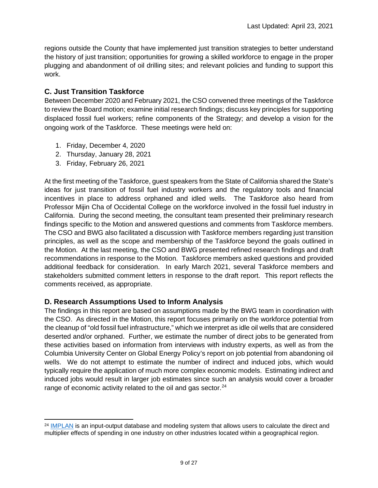regions outside the County that have implemented just transition strategies to better understand the history of just transition; opportunities for growing a skilled workforce to engage in the proper plugging and abandonment of oil drilling sites; and relevant policies and funding to support this work.

### <span id="page-16-0"></span>**C. Just Transition Taskforce**

Between December 2020 and February 2021, the CSO convened three meetings of the Taskforce to review the Board motion; examine initial research findings; discuss key principles for supporting displaced fossil fuel workers; refine components of the Strategy; and develop a vision for the ongoing work of the Taskforce. These meetings were held on:

- 1. Friday, December 4, 2020
- 2. Thursday, January 28, 2021
- 3. Friday, February 26, 2021

At the first meeting of the Taskforce, guest speakers from the State of California shared the State's ideas for just transition of fossil fuel industry workers and the regulatory tools and financial incentives in place to address orphaned and idled wells. The Taskforce also heard from Professor Mijin Cha of Occidental College on the workforce involved in the fossil fuel industry in California. During the second meeting, the consultant team presented their preliminary research findings specific to the Motion and answered questions and comments from Taskforce members. The CSO and BWG also facilitated a discussion with Taskforce members regarding just transition principles, as well as the scope and membership of the Taskforce beyond the goals outlined in the Motion. At the last meeting, the CSO and BWG presented refined research findings and draft recommendations in response to the Motion. Taskforce members asked questions and provided additional feedback for consideration. In early March 2021, several Taskforce members and stakeholders submitted comment letters in response to the draft report. This report reflects the comments received, as appropriate.

### <span id="page-16-1"></span>**D. Research Assumptions Used to Inform Analysis**

The findings in this report are based on assumptions made by the BWG team in coordination with the CSO. As directed in the Motion, this report focuses primarily on the workforce potential from the cleanup of "old fossil fuel infrastructure," which we interpret as idle oil wells that are considered deserted and/or orphaned. Further, we estimate the number of direct jobs to be generated from these activities based on information from interviews with industry experts, as well as from the Columbia University Center on Global Energy Policy's report on job potential from abandoning oil wells. We do not attempt to estimate the number of indirect and induced jobs, which would typically require the application of much more complex economic models. Estimating indirect and induced jobs would result in larger job estimates since such an analysis would cover a broader range of economic activity related to the oil and gas sector.<sup>[24](#page-16-2)</sup>

<span id="page-16-2"></span><sup>&</sup>lt;sup>24</sup> [IMPLAN](https://www.implan.com/) is an input-output database and modeling system that allows users to calculate the direct and multiplier effects of spending in one industry on other industries located within a geographical region.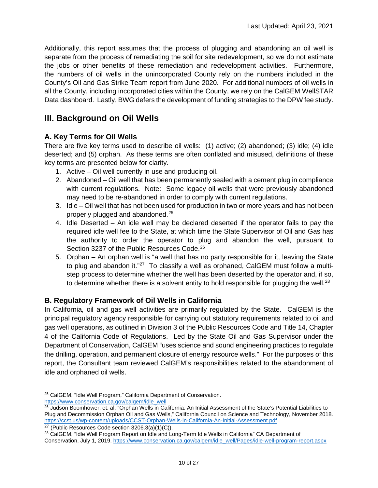Additionally, this report assumes that the process of plugging and abandoning an oil well is separate from the process of remediating the soil for site redevelopment, so we do not estimate the jobs or other benefits of these remediation and redevelopment activities. Furthermore, the numbers of oil wells in the unincorporated County rely on the numbers included in the County's Oil and Gas Strike Team report from June 2020. For additional numbers of oil wells in all the County, including incorporated cities within the County, we rely on the CalGEM WellSTAR Data dashboard. Lastly, BWG defers the development of funding strategies to the DPW fee study.

### <span id="page-17-0"></span>**III. Background on Oil Wells**

### <span id="page-17-1"></span>**A. Key Terms for Oil Wells**

There are five key terms used to describe oil wells: (1) active; (2) abandoned; (3) idle; (4) idle deserted; and (5) orphan. As these terms are often conflated and misused, definitions of these key terms are presented below for clarity.

- 1. Active Oil well currently in use and producing oil.
- 2. Abandoned Oil well that has been permanently sealed with a cement plug in compliance with current regulations. Note: Some legacy oil wells that were previously abandoned may need to be re-abandoned in order to comply with current regulations.
- 3. Idle Oil well that has not been used for production in two or more years and has not been properly plugged and abandoned.[25](#page-17-3)
- 4. Idle Deserted An idle well may be declared deserted if the operator fails to pay the required idle well fee to the State, at which time the State Supervisor of Oil and Gas has the authority to order the operator to plug and abandon the well, pursuant to Section 3237 of the Public Resources Code. [26](#page-17-4)
- 5. Orphan An orphan well is "a well that has no party responsible for it, leaving the State to plug and abandon it."<sup>[27](#page-17-5)</sup> To classify a well as orphaned, CalGEM must follow a multistep process to determine whether the well has been deserted by the operator and, if so, to determine whether there is a solvent entity to hold responsible for plugging the well.<sup>[28](#page-17-6)</sup>

### <span id="page-17-2"></span>**B. Regulatory Framework of Oil Wells in California**

In California, oil and gas well activities are primarily regulated by the State. CalGEM is the principal regulatory agency responsible for carrying out statutory requirements related to oil and gas well operations, as outlined in Division 3 of the Public Resources Code and Title 14, Chapter 4 of the California Code of Regulations. Led by the State Oil and Gas Supervisor under the Department of Conservation, CalGEM "uses science and sound engineering practices to regulate the drilling, operation, and permanent closure of energy resource wells." For the purposes of this report, the Consultant team reviewed CalGEM's responsibilities related to the abandonment of idle and orphaned oil wells.

<span id="page-17-3"></span><sup>25</sup> CalGEM, "Idle Well Program," California Department of Conservation. [https://www.conservation.ca.gov/calgem/idle\\_well](https://www.conservation.ca.gov/calgem/idle_well)

<span id="page-17-4"></span> $26$  Judson Boomhower, et. al, "Orphan Wells in California: An Initial Assessment of the State's Potential Liabilities to Plug and Decommission Orphan Oil and Gas Wells," California Council on Science and Technology, November 2018. <https://ccst.us/wp-content/uploads/CCST-Orphan-Wells-in-California-An-Initial-Assessment.pdf>

<span id="page-17-5"></span> $27$  (Public Resources Code section 3206.3(a)(1)(C)).

<span id="page-17-6"></span><sup>&</sup>lt;sup>28</sup> CalGEM, "Idle Well Program Report on Idle and Long-Term Idle Wells in California" CA Department of Conservation, July 1, 2019[. https://www.conservation.ca.gov/calgem/idle\\_well/Pages/idle-well-program-report.aspx](https://www.conservation.ca.gov/calgem/idle_well/Pages/idle-well-program-report.aspx)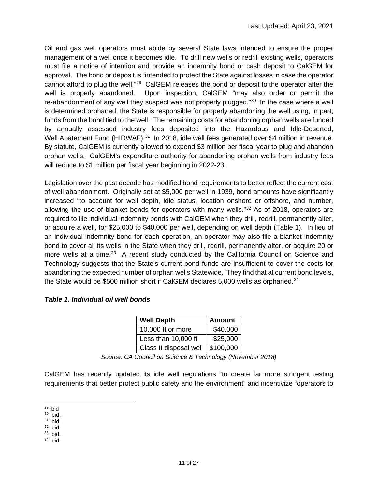Oil and gas well operators must abide by several State laws intended to ensure the proper management of a well once it becomes idle. To drill new wells or redrill existing wells, operators must file a notice of intention and provide an indemnity bond or cash deposit to CalGEM for approval. The bond or deposit is "intended to protect the State against losses in case the operator cannot afford to plug the well."[29](#page-18-0) CalGEM releases the bond or deposit to the operator after the well is properly abandoned. Upon inspection, CalGEM "may also order or permit the re-abandonment of any well they suspect was not properly plugged."<sup>[30](#page-18-1)</sup> In the case where a well is determined orphaned, the State is responsible for properly abandoning the well using, in part, funds from the bond tied to the well. The remaining costs for abandoning orphan wells are funded by annually assessed industry fees deposited into the Hazardous and Idle-Deserted, Well Abatement Fund (HIDWAF).<sup>[31](#page-18-2)</sup> In 2018, idle well fees generated over \$4 million in revenue. By statute, CalGEM is currently allowed to expend \$3 million per fiscal year to plug and abandon orphan wells. CalGEM's expenditure authority for abandoning orphan wells from industry fees will reduce to \$1 million per fiscal year beginning in 2022-23.

Legislation over the past decade has modified bond requirements to better reflect the current cost of well abandonment. Originally set at \$5,000 per well in 1939, bond amounts have significantly increased "to account for well depth, idle status, location onshore or offshore, and number, allowing the use of blanket bonds for operators with many wells."<sup>[32](#page-18-3)</sup> As of 2018, operators are required to file individual indemnity bonds with CalGEM when they drill, redrill, permanently alter, or acquire a well, for \$25,000 to \$40,000 per well, depending on well depth (Table 1). In lieu of an individual indemnity bond for each operation, an operator may also file a blanket indemnity bond to cover all its wells in the State when they drill, redrill, permanently alter, or acquire 20 or more wells at a time.<sup>[33](#page-18-4)</sup> A recent study conducted by the California Council on Science and Technology suggests that the State's current bond funds are insufficient to cover the costs for abandoning the expected number of orphan wells Statewide. They find that at current bond levels, the State would be \$500 million short if CalGEM declares 5,000 wells as orphaned.<sup>[34](#page-18-5)</sup>

#### *Table 1. Individual oil well bonds*

| <b>Well Depth</b>      | <b>Amount</b> |
|------------------------|---------------|
| 10,000 ft or more      | \$40,000      |
| Less than 10,000 ft    | \$25,000      |
| Class II disposal well | \$100,000     |

*Source: CA Council on Science & Technology (November 2018)*

CalGEM has recently updated its idle well regulations "to create far more stringent testing requirements that better protect public safety and the environment" and incentivize "operators to

<span id="page-18-5"></span><span id="page-18-4"></span><span id="page-18-3"></span> $33$  Ibid. <sup>34</sup> Ibid.

<span id="page-18-0"></span><sup>29</sup> ibid

<span id="page-18-1"></span><sup>30</sup> Ibid.

<span id="page-18-2"></span> $31$  Ibid.

 $32$  Ibid.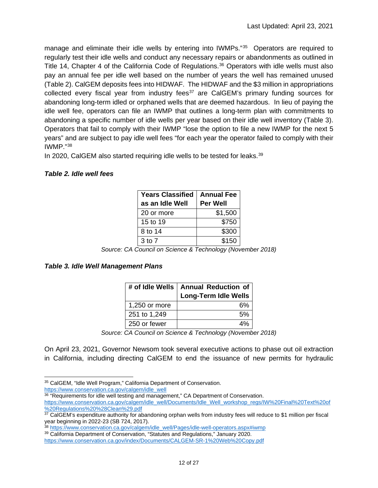manage and eliminate their idle wells by entering into IWMPs."<sup>[35](#page-19-0)</sup> Operators are required to regularly test their idle wells and conduct any necessary repairs or abandonments as outlined in Title 14, Chapter 4 of the California Code of Regulations.<sup>[36](#page-19-1)</sup> Operators with idle wells must also pay an annual fee per idle well based on the number of years the well has remained unused (Table 2). CalGEM deposits fees into HIDWAF. The HIDWAF and the \$3 million in appropriations collected every fiscal year from industry fees<sup>[37](#page-19-2)</sup> are CalGEM's primary funding sources for abandoning long-term idled or orphaned wells that are deemed hazardous. In lieu of paying the idle well fee, operators can file an IWMP that outlines a long-term plan with commitments to abandoning a specific number of idle wells per year based on their idle well inventory (Table 3). Operators that fail to comply with their IWMP "lose the option to file a new IWMP for the next 5 years" and are subject to pay idle well fees "for each year the operator failed to comply with their IWMP."[38](#page-19-3)

In 2020, CalGEM also started requiring idle wells to be tested for leaks.<sup>[39](#page-19-4)</sup>

#### *Table 2. Idle well fees*

| <b>Years Classified</b> | <b>Annual Fee</b> |  |
|-------------------------|-------------------|--|
| as an Idle Well         | <b>Per Well</b>   |  |
| 20 or more              | \$1,500           |  |
| 15 to 19                | \$750             |  |
| 8 to 14                 | \$300             |  |
| $3$ to $7$              | \$150             |  |

*Source: CA Council on Science & Technology (November 2018)*

### *Table 3. Idle Well Management Plans*

|               | # of Idle Wells   Annual Reduction of |  |
|---------------|---------------------------------------|--|
|               | Long-Term Idle Wells                  |  |
| 1,250 or more | 6%                                    |  |
| 251 to 1,249  | 5%                                    |  |
| 250 or fewer  | $\Delta^{0}$                          |  |

*Source: CA Council on Science & Technology (November 2018)*

On April 23, 2021, Governor Newsom took several executive actions to phase out oil extraction in California, including directing CalGEM to end the issuance of new permits for hydraulic

<span id="page-19-1"></span>36 "Requirements for idle well testing and management," CA Department of Conservation. [https://www.conservation.ca.gov/calgem/idle\\_well/Documents/Idle\\_Well\\_workshop\\_regs/IW%20Final%20Text%20of](https://www.conservation.ca.gov/calgem/idle_well/Documents/Idle_Well_workshop_regs/IW%20Final%20Text%20of%20Regulations%20%28Clean%29.pdf) [%20Regulations%20%28Clean%29.pdf](https://www.conservation.ca.gov/calgem/idle_well/Documents/Idle_Well_workshop_regs/IW%20Final%20Text%20of%20Regulations%20%28Clean%29.pdf)

<sup>38</sup> [https://www.conservation.ca.gov/calgem/idle\\_well/Pages/idle-well-operators.aspx#iwmp](https://www.conservation.ca.gov/calgem/idle_well/Pages/idle-well-operators.aspx#iwmp)

<span id="page-19-0"></span><sup>35</sup> CalGEM, "Idle Well Program," California Department of Conservation. [https://www.conservation.ca.gov/calgem/idle\\_well](https://www.conservation.ca.gov/calgem/idle_well)

<span id="page-19-2"></span><sup>37</sup> CalGEM's expenditure authority for abandoning orphan wells from industry fees will reduce to \$1 million per fiscal year beginning in 2022-23 (SB 724, 2017).

<span id="page-19-4"></span><span id="page-19-3"></span><sup>39</sup> California Department of Conservation, "Statutes and Regulations," January 2020. <https://www.conservation.ca.gov/index/Documents/CALGEM-SR-1%20Web%20Copy.pdf>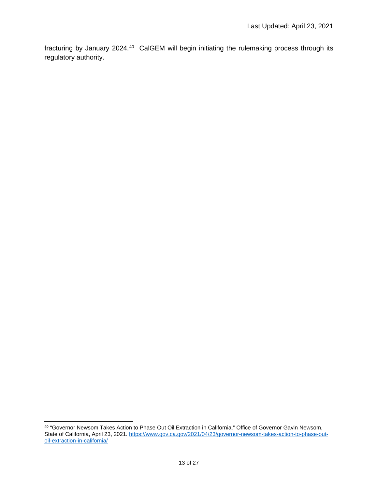<span id="page-20-0"></span>fracturing by January 2024.<sup>[40](#page-20-1)</sup> CalGEM will begin initiating the rulemaking process through its regulatory authority.

<span id="page-20-1"></span><sup>40</sup> "Governor Newsom Takes Action to Phase Out Oil Extraction in California," Office of Governor Gavin Newsom, State of California, April 23, 2021. [https://www.gov.ca.gov/2021/04/23/governor-newsom-takes-action-to-phase-out](https://www.gov.ca.gov/2021/04/23/governor-newsom-takes-action-to-phase-out-oil-extraction-in-california/)[oil-extraction-in-california/](https://www.gov.ca.gov/2021/04/23/governor-newsom-takes-action-to-phase-out-oil-extraction-in-california/)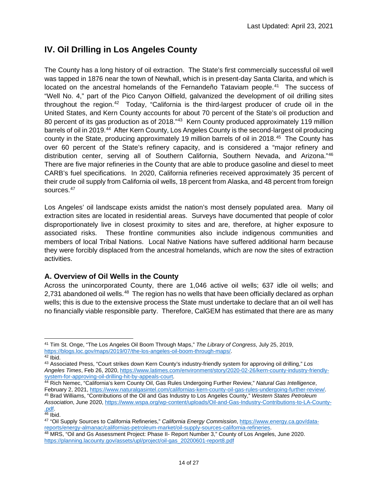# **IV. Oil Drilling in Los Angeles County**

The County has a long history of oil extraction. The State's first commercially successful oil well was tapped in 1876 near the town of Newhall, which is in present-day Santa Clarita, and which is located on the ancestral homelands of the Fernandeño Tataviam people.<sup>[41](#page-21-1)</sup> The success of "Well No. 4," part of the Pico Canyon Oilfield, galvanized the development of oil drilling sites throughout the region.[42](#page-21-2) Today, "California is the third-largest producer of crude oil in the United States, and Kern County accounts for about 70 percent of the State's oil production and 80 percent of its gas production as of 2018.<sup>"[43](#page-21-3)</sup> Kern County produced approximately 119 million barrels of oil in 2019.<sup>[44](#page-21-4)</sup> After Kern County, Los Angeles County is the second-largest oil producing county in the State, producing approximately 19 million barrels of oil in 2018.<sup>[45](#page-21-5)</sup> The County has over 60 percent of the State's refinery capacity, and is considered a "major refinery and distribution center, serving all of Southern California, Southern Nevada, and Arizona."[46](#page-21-6) There are five major refineries in the County that are able to produce gasoline and diesel to meet CARB's fuel specifications. In 2020, California refineries received approximately 35 percent of their crude oil supply from California oil wells, 18 percent from Alaska, and 48 percent from foreign sources. [47](#page-21-7)

Los Angeles' oil landscape exists amidst the nation's most densely populated area. Many oil extraction sites are located in residential areas. Surveys have documented that people of color disproportionately live in closest proximity to sites and are, therefore, at higher exposure to associated risks. These frontline communities also include indigenous communities and members of local Tribal Nations. Local Native Nations have suffered additional harm because they were forcibly displaced from the ancestral homelands, which are now the sites of extraction activities.

### <span id="page-21-0"></span>**A. Overview of Oil Wells in the County**

Across the unincorporated County, there are 1,046 active oil wells; 637 idle oil wells; and 2,731 abandoned oil wells.<sup>[48](#page-21-8)</sup> The region has no wells that have been officially declared as orphan wells; this is due to the extensive process the State must undertake to declare that an oil well has no financially viable responsible party. Therefore, CalGEM has estimated that there are as many

<span id="page-21-1"></span><sup>41</sup> Tim St. Onge, "The Los Angeles Oil Boom Through Maps," *The Library of Congress*, July 25, 2019, [https://blogs.loc.gov/maps/2019/07/the-los-angeles-oil-boom-through-maps/.](https://blogs.loc.gov/maps/2019/07/the-los-angeles-oil-boom-through-maps/) 42 Ibid.

<span id="page-21-3"></span><span id="page-21-2"></span><sup>43</sup> Associated Press, "Court strikes down Kern County's industry-friendly system for approving oil drilling," *Los Angeles Times*, Feb 26, 2020[, https://www.latimes.com/environment/story/2020-02-26/kern-county-industry-friendly-](https://www.latimes.com/environment/story/2020-02-26/kern-county-industry-friendly-system-for-approving-oil-drilling-hit-by-appeals-court)

<span id="page-21-4"></span>[system-for-approving-oil-drilling-hit-by-appeals-court.](https://www.latimes.com/environment/story/2020-02-26/kern-county-industry-friendly-system-for-approving-oil-drilling-hit-by-appeals-court)<br>
44 Rich Nemec, "California's kern County Oil, Gas Rules Undergoing Further Review," *Natural Gas Intelligence*,<br>
59 February 2, 2021, https://www.naturalgasintel.com <sup>45</sup> Brad Williams, "Contributions of the Oil and Gas Industry to Los Angeles County," Western States Petroleum

<span id="page-21-5"></span>*Association*, June 2020, <u>https://www.wspa.org/wp-content/uploads/Oil-and-Gas-Industry-Contributions-to-LA-County-<br>- pdf.<br><sup>46</sup> Ibid.</u>

<span id="page-21-7"></span><span id="page-21-6"></span><sup>&</sup>lt;sup>47</sup> "Oil Supply Sources to California Refineries," *California Energy Commission*[, https://www.energy.ca.gov/data](https://www.energy.ca.gov/data-reports/energy-almanac/californias-petroleum-market/oil-supply-sources-california-refineries)[reports/energy-almanac/californias-petroleum-market/oil-supply-sources-california-refineries.](https://www.energy.ca.gov/data-reports/energy-almanac/californias-petroleum-market/oil-supply-sources-california-refineries) 48 MRS, "Oil and Gs Assessment Project: Phase II- Report Number 3," County of Los Angeles, June 2020.

<span id="page-21-8"></span>[https://planning.lacounty.gov/assets/upl/project/oil-gas\\_20200601-report8.pdf](https://planning.lacounty.gov/assets/upl/project/oil-gas_20200601-report8.pdf)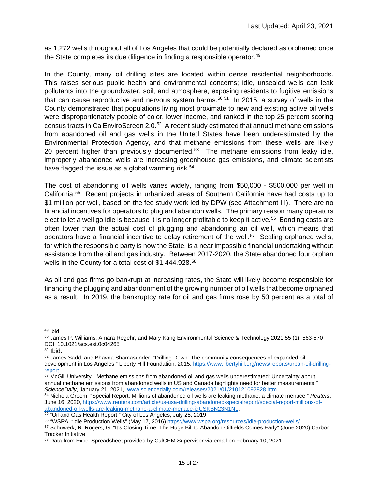as 1,272 wells throughout all of Los Angeles that could be potentially declared as orphaned once the State completes its due diligence in finding a responsible operator. $49$ 

In the County, many oil drilling sites are located within dense residential neighborhoods. This raises serious public health and environmental concerns; idle, unsealed wells can leak pollutants into the groundwater, soil, and atmosphere, exposing residents to fugitive emissions that can cause reproductive and nervous system harms.<sup>[50](#page-22-1),[51](#page-22-2)</sup> In 2015, a survey of wells in the County demonstrated that populations living most proximate to new and existing active oil wells were disproportionately people of color, lower income, and ranked in the top 25 percent scoring census tracts in CalEnviroScreen 2.0.[52](#page-22-3) A recent study estimated that annual methane emissions from abandoned oil and gas wells in the United States have been underestimated by the Environmental Protection Agency, and that methane emissions from these wells are likely 20 percent higher than previously documented.<sup>[53](#page-22-4)</sup> The methane emissions from leaky idle, improperly abandoned wells are increasing greenhouse gas emissions, and climate scientists have flagged the issue as a global warming risk.<sup>[54](#page-22-5)</sup>

The cost of abandoning oil wells varies widely, ranging from \$50,000 - \$500,000 per well in California. [55](#page-22-6) Recent projects in urbanized areas of Southern California have had costs up to \$1 million per well, based on the fee study work led by DPW (see Attachment III). There are no financial incentives for operators to plug and abandon wells. The primary reason many operators elect to let a well go idle is because it is no longer profitable to keep it active.<sup>[56](#page-22-7)</sup> Bonding costs are often lower than the actual cost of plugging and abandoning an oil well, which means that operators have a financial incentive to delay retirement of the well.[57](#page-22-8) Sealing orphaned wells, for which the responsible party is now the State, is a near impossible financial undertaking without assistance from the oil and gas industry. Between 2017-2020, the State abandoned four orphan wells in the County for a total cost of \$1,444,928.<sup>[58](#page-22-9)</sup>

As oil and gas firms go bankrupt at increasing rates, the State will likely become responsible for financing the plugging and abandonment of the growing number of oil wells that become orphaned as a result. In 2019, the bankruptcy rate for oil and gas firms rose by 50 percent as a total of

<span id="page-22-3"></span><span id="page-22-2"></span><sup>51</sup> Ibid.<br><sup>52</sup> James Sadd, and Bhavna Shamasunder, "Drilling Down: The community consequences of expanded oil development in Los Angeles," Liberty Hill Foundation, 2015[. https://www.libertyhill.org/news/reports/urban-oil-drilling-](https://www.libertyhill.org/news/reports/urban-oil-drilling-report)

<span id="page-22-1"></span><span id="page-22-0"></span><sup>&</sup>lt;sup>49</sup> Ibid.<br><sup>50</sup> James P. Williams, Amara Regehr, and Mary Kang Environmental Science & Technology 2021 55 (1), 563-570 DOI: 10.1021/acs.est.0c04265

[report](https://www.libertyhill.org/news/reports/urban-oil-drilling-report)

<span id="page-22-4"></span> $\frac{53}{20}$  McGill University. "Methane emissions from abandoned oil and gas wells underestimated: Uncertainty about annual methane emissions from abandoned wells in US and Canada highlights need for better measurements."<br>ScienceDaily, January 21, 2021, www.sciencedaily.com/releases/2021/01/210121092828.htm.

<span id="page-22-5"></span><sup>&</sup>lt;sup>54</sup> Nichola Groom, "Special Report: Millions of abandoned oil wells are leaking methane, a climate menace," *Reuters*, June 16, 2020, [https://www.reuters.com/article/us-usa-drilling-abandoned-specialreport/special-report-millions-of](https://www.reuters.com/article/us-usa-drilling-abandoned-specialreport/special-report-millions-of-abandoned-oil-wells-are-leaking-methane-a-climate-menace-idUSKBN23N1NL)[abandoned-oil-wells-are-leaking-methane-a-climate-menace-idUSKBN23N1NL.](https://www.reuters.com/article/us-usa-drilling-abandoned-specialreport/special-report-millions-of-abandoned-oil-wells-are-leaking-methane-a-climate-menace-idUSKBN23N1NL)<br>55 "Oil and Gas Health Report," City of Los Angeles, July 25, 2019.<br>56 "WSPA. "idle Production Wells" (May 17, 2016) https://www.wspa.org/resources/id

<span id="page-22-7"></span><span id="page-22-6"></span>

<span id="page-22-8"></span><sup>57</sup> Schuwerk, R. Rogers, G. "It's Closing Time: The Huge Bill to Abandon Oilfields Comes Early" (June 2020) Carbon Tracker Initiative.

<span id="page-22-9"></span><sup>58</sup> Data from Excel Spreadsheet provided by CalGEM Supervisor via email on February 10, 2021.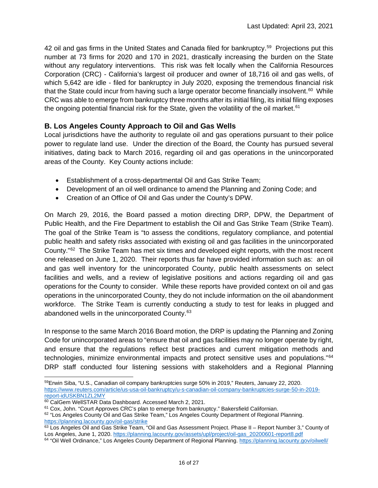42 oil and gas firms in the United States and Canada filed for bankruptcy.<sup>[59](#page-23-1)</sup> Projections put this number at 73 firms for 2020 and 170 in 2021, drastically increasing the burden on the State without any regulatory interventions. This risk was felt locally when the California Resources Corporation (CRC) - California's largest oil producer and owner of 18,716 oil and gas wells, of which 5,642 are idle - filed for bankruptcy in July 2020, exposing the tremendous financial risk that the State could incur from having such a large operator become financially insolvent.<sup>[60](#page-23-2)</sup> While CRC was able to emerge from bankruptcy three months after its initial filing, its initial filing exposes the ongoing potential financial risk for the State, given the volatility of the oil market.<sup>[61](#page-23-3)</sup>

### <span id="page-23-0"></span>**B. Los Angeles County Approach to Oil and Gas Wells**

Local jurisdictions have the authority to regulate oil and gas operations pursuant to their police power to regulate land use. Under the direction of the Board, the County has pursued several initiatives, dating back to March 2016, regarding oil and gas operations in the unincorporated areas of the County. Key County actions include:

- Establishment of a cross-departmental Oil and Gas Strike Team;
- Development of an oil well ordinance to amend the Planning and Zoning Code; and
- Creation of an Office of Oil and Gas under the County's DPW.

On March 29, 2016, the Board passed a motion directing DRP, DPW, the Department of Public Health, and the Fire Department to establish the Oil and Gas Strike Team (Strike Team). The goal of the Strike Team is "to assess the conditions, regulatory compliance, and potential public health and safety risks associated with existing oil and gas facilities in the unincorporated County."[62](#page-23-4) The Strike Team has met six times and developed eight reports, with the most recent one released on June 1, 2020. Their reports thus far have provided information such as: an oil and gas well inventory for the unincorporated County, public health assessments on select facilities and wells, and a review of legislative positions and actions regarding oil and gas operations for the County to consider. While these reports have provided context on oil and gas operations in the unincorporated County, they do not include information on the oil abandonment workforce. The Strike Team is currently conducting a study to test for leaks in plugged and abandoned wells in the unincorporated County.<sup>[63](#page-23-5)</sup>

In response to the same March 2016 Board motion, the DRP is updating the Planning and Zoning Code for unincorporated areas to "ensure that oil and gas facilities may no longer operate by right, and ensure that the regulations reflect best practices and current mitigation methods and technologies, minimize environmental impacts and protect sensitive uses and populations."[64](#page-23-6) DRP staff conducted four listening sessions with stakeholders and a Regional Planning

<span id="page-23-1"></span><sup>59</sup>Erwin Siba, "U.S., Canadian oil company bankruptcies surge 50% in 2019," Reuters, January 22, 2020. [https://www.reuters.com/article/us-usa-oil-bankruptcy/u-s-canadian-oil-company-bankruptcies-surge-50-in-2019](https://www.reuters.com/article/us-usa-oil-bankruptcy/u-s-canadian-oil-company-bankruptcies-surge-50-in-2019-report-idUSKBN1ZL2MY) [report-idUSKBN1ZL2MY](https://www.reuters.com/article/us-usa-oil-bankruptcy/u-s-canadian-oil-company-bankruptcies-surge-50-in-2019-report-idUSKBN1ZL2MY)<br><sup>60</sup> CalGem WellSTAR Data Dashboard. Accessed March 2, 2021.

<span id="page-23-2"></span>

<span id="page-23-3"></span> $61$  Cox, John. "Court Approves CRC's plan to emerge from bankruptcy." Bakersfield Californian.

<span id="page-23-4"></span><sup>62 &</sup>quot;Los Angeles County Oil and Gas Strike Team," Los Angeles County Department of Regional Planning. <https://planning.lacounty.gov/oil-gas/strike>

<span id="page-23-5"></span><sup>63</sup> Los Angeles Oil and Gas Strike Team, "Oil and Gas Assessment Project. Phase II – Report Number 3," County of Los Angeles, June 1, 2020[. https://planning.lacounty.gov/assets/upl/project/oil-gas\\_20200601-report8.pdf](https://planning.lacounty.gov/assets/upl/project/oil-gas_20200601-report8.pdf)

<span id="page-23-6"></span><sup>64 &</sup>quot;Oil Well Ordinance," Los Angeles County Department of Regional Planning.<https://planning.lacounty.gov/oilwell/>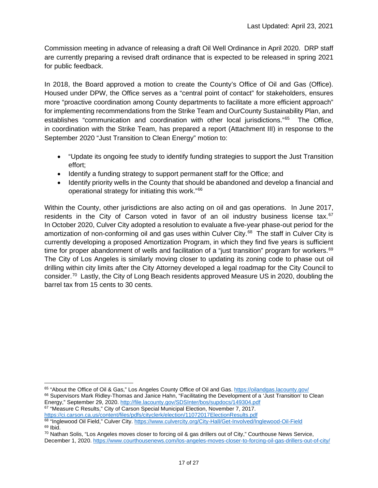Commission meeting in advance of releasing a draft Oil Well Ordinance in April 2020. DRP staff are currently preparing a revised draft ordinance that is expected to be released in spring 2021 for public feedback.

In 2018, the Board approved a motion to create the County's Office of Oil and Gas (Office). Housed under DPW, the Office serves as a "central point of contact" for stakeholders, ensures more "proactive coordination among County departments to facilitate a more efficient approach" for implementing recommendations from the Strike Team and OurCounty Sustainability Plan, and establishes "communication and coordination with other local jurisdictions."<sup>[65](#page-24-0)</sup> The Office, in coordination with the Strike Team, has prepared a report (Attachment III) in response to the September 2020 "Just Transition to Clean Energy" motion to:

- "Update its ongoing fee study to identify funding strategies to support the Just Transition effort;
- Identify a funding strategy to support permanent staff for the Office; and
- Identify priority wells in the County that should be abandoned and develop a financial and operational strategy for initiating this work."[66](#page-24-1)

Within the County, other jurisdictions are also acting on oil and gas operations. In June 2017, residents in the City of Carson voted in favor of an oil industry business license tax.<sup>[67](#page-24-2)</sup> In October 2020, Culver City adopted a resolution to evaluate a five-year phase-out period for the amortization of non-conforming oil and gas uses within Culver City.<sup>[68](#page-24-3)</sup> The staff in Culver City is currently developing a proposed Amortization Program, in which they find five years is sufficient time for proper abandonment of wells and facilitation of a "just transition" program for workers.<sup>[69](#page-24-4)</sup> The City of Los Angeles is similarly moving closer to updating its zoning code to phase out oil drilling within city limits after the City Attorney developed a legal roadmap for the City Council to consider. [70](#page-24-5) Lastly, the City of Long Beach residents approved Measure US in 2020, doubling the barrel tax from 15 cents to 30 cents.

<span id="page-24-2"></span><sup>67</sup> "Measure C Results," City of Carson Special Municipal Election, November 7, 2017. <https://ci.carson.ca.us/content/files/pdfs/cityclerk/election/11072017ElectionResults.pdf>

<span id="page-24-1"></span><span id="page-24-0"></span><sup>65 &</sup>quot;About the Office of Oil & Gas," Los Angeles County Office of Oil and Gas[. https://oilandgas.lacounty.gov/](https://oilandgas.lacounty.gov/) <sup>66</sup> Supervisors Mark Ridley-Thomas and Janice Hahn, "Facilitating the Development of a 'Just Transition' to Clean Energy," September 29, 2020.<http://file.lacounty.gov/SDSInter/bos/supdocs/149304.pdf>

<span id="page-24-3"></span><sup>68 &</sup>quot;Inglewood Oil Field," Culver City[. https://www.culvercity.org/City-Hall/Get-Involved/Inglewood-Oil-Field](https://www.culvercity.org/City-Hall/Get-Involved/Inglewood-Oil-Field)  $69$  Ibid.

<span id="page-24-5"></span><span id="page-24-4"></span><sup>70</sup> Nathan Solis, "Los Angeles moves closer to forcing oil & gas drillers out of City," Courthouse News Service, December 1, 2020.<https://www.courthousenews.com/los-angeles-moves-closer-to-forcing-oil-gas-drillers-out-of-city/>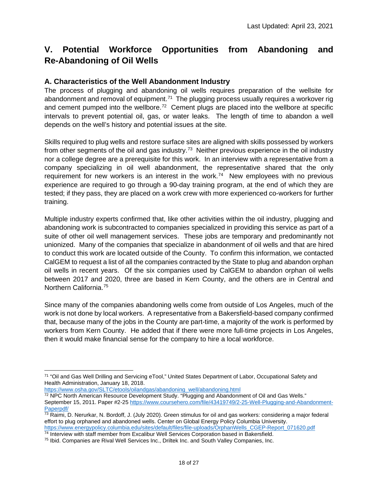# <span id="page-25-0"></span>**V. Potential Workforce Opportunities from Abandoning and Re-Abandoning of Oil Wells**

### <span id="page-25-1"></span>**A. Characteristics of the Well Abandonment Industry**

The process of plugging and abandoning oil wells requires preparation of the wellsite for abandonment and removal of equipment.<sup>[71](#page-25-3)</sup> The plugging process usually requires a workover rig and cement pumped into the wellbore.<sup>[72](#page-25-4)</sup> Cement plugs are placed into the wellbore at specific intervals to prevent potential oil, gas, or water leaks. The length of time to abandon a well depends on the well's history and potential issues at the site.

Skills required to plug wells and restore surface sites are aligned with skills possessed by workers from other segments of the oil and gas industry.<sup>[73](#page-25-5)</sup> Neither previous experience in the oil industry nor a college degree are a prerequisite for this work. In an interview with a representative from a company specializing in oil well abandonment, the representative shared that the only requirement for new workers is an interest in the work.<sup>[74](#page-25-6)</sup> New employees with no previous experience are required to go through a 90-day training program, at the end of which they are tested; if they pass, they are placed on a work crew with more experienced co-workers for further training.

Multiple industry experts confirmed that, like other activities within the oil industry, plugging and abandoning work is subcontracted to companies specialized in providing this service as part of a suite of other oil well management services. These jobs are temporary and predominantly not unionized. Many of the companies that specialize in abandonment of oil wells and that are hired to conduct this work are located outside of the County. To confirm this information, we contacted CalGEM to request a list of all the companies contracted by the State to plug and abandon orphan oil wells in recent years. Of the six companies used by CalGEM to abandon orphan oil wells between 2017 and 2020, three are based in Kern County, and the others are in Central and Northern California.<sup>[75](#page-25-7)</sup>

Since many of the companies abandoning wells come from outside of Los Angeles, much of the work is not done by local workers. A representative from a Bakersfield-based company confirmed that, because many of the jobs in the County are part-time, a majority of the work is performed by workers from Kern County. He added that if there were more full-time projects in Los Angeles, then it would make financial sense for the company to hire a local workforce.

[https://www.osha.gov/SLTC/etools/oilandgas/abandoning\\_well/abandoning.html](https://www.osha.gov/SLTC/etools/oilandgas/abandoning_well/abandoning.html)

<span id="page-25-3"></span><span id="page-25-2"></span><sup>71</sup> "Oil and Gas Well Drilling and Servicing eTool," United States Department of Labor, Occupational Safety and Health Administration, January 18, 2018.

<span id="page-25-4"></span><sup>72</sup> NPC North American Resource Development Study. "Plugging and Abandonment of Oil and Gas Wells." September 15, 2011. Paper #2-2[5 https://www.coursehero.com/file/43419749/2-25-Well-Plugging-and-Abandonment-](https://www.coursehero.com/file/43419749/2-25-Well-Plugging-and-Abandonment-Paperpdf/)[Paperpdf/](https://www.coursehero.com/file/43419749/2-25-Well-Plugging-and-Abandonment-Paperpdf/)

<span id="page-25-5"></span><sup>73</sup> Raimi, D. Nerurkar, N. Bordoff, J. (July 2020). Green stimulus for oil and gas workers: considering a major federal effort to plug orphaned and abandoned wells. Center on Global Energy Policy Columbia University. [https://www.energypolicy.columbia.edu/sites/default/files/file-uploads/OrphanWells\\_CGEP-Report\\_071620.pdf](https://www.energypolicy.columbia.edu/sites/default/files/file-uploads/OrphanWells_CGEP-Report_071620.pdf)<br><sup>74</sup> Interview with staff member from Excalibur Well Services Corporation based in Bakersfield.

<span id="page-25-7"></span><span id="page-25-6"></span><sup>&</sup>lt;sup>75</sup> Ibid. Companies are Rival Well Services Inc., Driltek Inc. and South Valley Companies, Inc.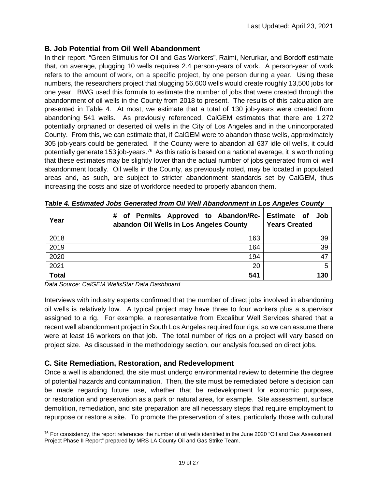### **B. Job Potential from Oil Well Abandonment**

In their report, "Green Stimulus for Oil and Gas Workers", Raimi, Nerurkar, and Bordoff estimate that, on average, plugging 10 wells requires 2.4 person-years of work. A person-year of work refers to the amount of work, on a specific project, by one person during a year. Using these numbers, the researchers project that plugging 56,600 wells would create roughly 13,500 jobs for one year. BWG used this formula to estimate the number of jobs that were created through the abandonment of oil wells in the County from 2018 to present. The results of this calculation are presented in Table 4. At most, we estimate that a total of 130 job-years were created from abandoning 541 wells. As previously referenced, CalGEM estimates that there are 1,272 potentially orphaned or deserted oil wells in the City of Los Angeles and in the unincorporated County. From this, we can estimate that, if CalGEM were to abandon those wells, approximately 305 job-years could be generated. If the County were to abandon all 637 idle oil wells, it could potentially generate 153 job-years.<sup>76</sup> As this ratio is based on a national average, it is worth noting that these estimates may be slightly lower than the actual number of jobs generated from oil well abandonment locally. Oil wells in the County, as previously noted, may be located in populated areas and, as such, are subject to stricter abandonment standards set by CalGEM, thus increasing the costs and size of workforce needed to properly abandon them.

| Year         | # of Permits Approved to Abandon/Re- Estimate of<br>abandon Oil Wells in Los Angeles County | Job<br><b>Years Created</b> |
|--------------|---------------------------------------------------------------------------------------------|-----------------------------|
| 2018         | 163                                                                                         | 39                          |
| 2019         | 164                                                                                         | 39                          |
| 2020         | 194                                                                                         |                             |
| 2021         | 20                                                                                          | 5                           |
| <b>Total</b> | 541                                                                                         | 130                         |

*Table 4. Estimated Jobs Generated from Oil Well Abandonment in Los Angeles County*

*Data Source: CalGEM WellsStar Data Dashboard*

Interviews with industry experts confirmed that the number of direct jobs involved in abandoning oil wells is relatively low. A typical project may have three to four workers plus a supervisor assigned to a rig. For example, a representative from Excalibur Well Services shared that a recent well abandonment project in South Los Angeles required four rigs, so we can assume there were at least 16 workers on that job. The total number of rigs on a project will vary based on project size. As discussed in the methodology section, our analysis focused on direct jobs.

### <span id="page-26-0"></span>**C. Site Remediation, Restoration, and Redevelopment**

Once a well is abandoned, the site must undergo environmental review to determine the degree of potential hazards and contamination. Then, the site must be remediated before a decision can be made regarding future use, whether that be redevelopment for economic purposes, or restoration and preservation as a park or natural area, for example. Site assessment, surface demolition, remediation, and site preparation are all necessary steps that require employment to repurpose or restore a site. To promote the preservation of sites, particularly those with cultural

<span id="page-26-1"></span><sup>&</sup>lt;sup>76</sup> For consistency, the report references the number of oil wells identified in the June 2020 "Oil and Gas Assessment Project Phase II Report" prepared by MRS LA County Oil and Gas Strike Team.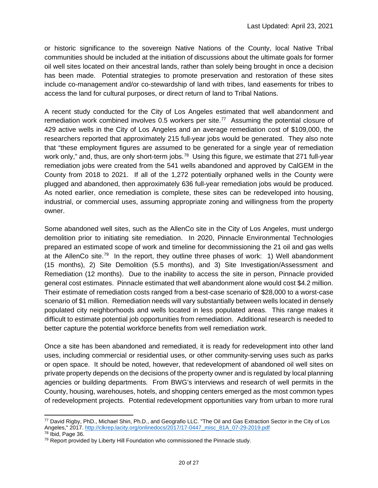or historic significance to the sovereign Native Nations of the County, local Native Tribal communities should be included at the initiation of discussions about the ultimate goals for former oil well sites located on their ancestral lands, rather than solely being brought in once a decision has been made. Potential strategies to promote preservation and restoration of these sites include co-management and/or co-stewardship of land with tribes, land easements for tribes to access the land for cultural purposes, or direct return of land to Tribal Nations.

A recent study conducted for the City of Los Angeles estimated that well abandonment and remediation work combined involves 0.5 workers per site.<sup>77</sup> Assuming the potential closure of 429 active wells in the City of Los Angeles and an average remediation cost of \$109,000, the researchers reported that approximately 215 full-year jobs would be generated. They also note that "these employment figures are assumed to be generated for a single year of remediation work only," and, thus, are only short-term jobs.<sup>[78](#page-27-1)</sup> Using this figure, we estimate that 271 full-year remediation jobs were created from the 541 wells abandoned and approved by CalGEM in the County from 2018 to 2021. If all of the 1,272 potentially orphaned wells in the County were plugged and abandoned, then approximately 636 full-year remediation jobs would be produced. As noted earlier, once remediation is complete, these sites can be redeveloped into housing, industrial, or commercial uses, assuming appropriate zoning and willingness from the property owner.

Some abandoned well sites, such as the AllenCo site in the City of Los Angeles, must undergo demolition prior to initiating site remediation. In 2020, Pinnacle Environmental Technologies prepared an estimated scope of work and timeline for decommissioning the 21 oil and gas wells at the AllenCo site.<sup>79</sup> In the report, they outline three phases of work: 1) Well abandonment (15 months), 2) Site Demolition (5.5 months), and 3) Site Investigation/Assessment and Remediation (12 months). Due to the inability to access the site in person, Pinnacle provided general cost estimates. Pinnacle estimated that well abandonment alone would cost \$4.2 million. Their estimate of remediation costs ranged from a best-case scenario of \$28,000 to a worst-case scenario of \$1 million. Remediation needs will vary substantially between wells located in densely populated city neighborhoods and wells located in less populated areas. This range makes it difficult to estimate potential job opportunities from remediation. Additional research is needed to better capture the potential workforce benefits from well remediation work.

Once a site has been abandoned and remediated, it is ready for redevelopment into other land uses, including commercial or residential uses, or other community-serving uses such as parks or open space. It should be noted, however, that redevelopment of abandoned oil well sites on private property depends on the decisions of the property owner and is regulated by local planning agencies or building departments. From BWG's interviews and research of well permits in the County, housing, warehouses, hotels, and shopping centers emerged as the most common types of redevelopment projects. Potential redevelopment opportunities vary from urban to more rural

<span id="page-27-0"></span><sup>77</sup> David Rigby, PhD., Michael Shin, Ph.D., and Geografio LLC. "The Oil and Gas Extraction Sector in the City of Los Angeles," 2017[. http://clkrep.lacity.org/onlinedocs/2017/17-0447\\_misc\\_81A\\_07-29-2019.pdf](http://clkrep.lacity.org/onlinedocs/2017/17-0447_misc_81A_07-29-2019.pdf)<br><sup>78</sup> Ibid. Page 36.

<span id="page-27-1"></span>

<span id="page-27-2"></span><sup>&</sup>lt;sup>79</sup> Report provided by Liberty Hill Foundation who commissioned the Pinnacle study.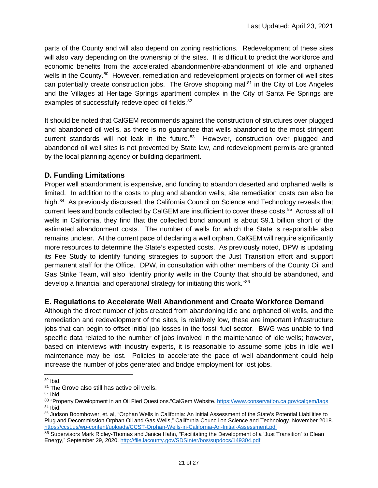parts of the County and will also depend on zoning restrictions. Redevelopment of these sites will also vary depending on the ownership of the sites. It is difficult to predict the workforce and economic benefits from the accelerated abandonment/re-abandonment of idle and orphaned wells in the County.<sup>[80](#page-28-2)</sup> However, remediation and redevelopment projects on former oil well sites can potentially create construction jobs. The Grove shopping mall<sup>81</sup> in the City of Los Angeles and the Villages at Heritage Springs apartment complex in the City of Santa Fe Springs are examples of successfully redeveloped oil fields.<sup>[82](#page-28-4)</sup>

It should be noted that CalGEM recommends against the construction of structures over plugged and abandoned oil wells, as there is no guarantee that wells abandoned to the most stringent current standards will not leak in the future. $83$  However, construction over plugged and abandoned oil well sites is not prevented by State law, and redevelopment permits are granted by the local planning agency or building department.

### <span id="page-28-0"></span>**D. Funding Limitations**

Proper well abandonment is expensive, and funding to abandon deserted and orphaned wells is limited. In addition to the costs to plug and abandon wells, site remediation costs can also be high.<sup>[84](#page-28-6)</sup> As previously discussed, the California Council on Science and Technology reveals that current fees and bonds collected by CalGEM are insufficient to cover these costs. [85](#page-28-7) Across all oil wells in California, they find that the collected bond amount is about \$9.1 billion short of the estimated abandonment costs. The number of wells for which the State is responsible also remains unclear. At the current pace of declaring a well orphan, CalGEM will require significantly more resources to determine the State's expected costs. As previously noted, DPW is updating its Fee Study to identify funding strategies to support the Just Transition effort and support permanent staff for the Office. DPW, in consultation with other members of the County Oil and Gas Strike Team, will also "identify priority wells in the County that should be abandoned, and develop a financial and operational strategy for initiating this work."[86](#page-28-8)

### <span id="page-28-1"></span>**E. Regulations to Accelerate Well Abandonment and Create Workforce Demand**

Although the direct number of jobs created from abandoning idle and orphaned oil wells, and the remediation and redevelopment of the sites, is relatively low, these are important infrastructure jobs that can begin to offset initial job losses in the fossil fuel sector. BWG was unable to find specific data related to the number of jobs involved in the maintenance of idle wells; however, based on interviews with industry experts, it is reasonable to assume some jobs in idle well maintenance may be lost. Policies to accelerate the pace of well abandonment could help increase the number of jobs generated and bridge employment for lost jobs.

<span id="page-28-2"></span><sup>80</sup> Ibid.

<span id="page-28-3"></span><sup>81</sup> The Grove also still has active oil wells.

<span id="page-28-4"></span><sup>82</sup> Ibid.

<span id="page-28-5"></span><sup>83 &</sup>quot;Property Development in an Oil Fied Questions."CalGem Website[. https://www.conservation.ca.gov/calgem/faqs](https://www.conservation.ca.gov/calgem/faqs) <sup>84</sup> Ibid.

<span id="page-28-7"></span><span id="page-28-6"></span><sup>85</sup> Judson Boomhower, et. al, "Orphan Wells in California: An Initial Assessment of the State's Potential Liabilities to Plug and Decommission Orphan Oil and Gas Wells," California Council on Science and Technology, November 2018. <https://ccst.us/wp-content/uploads/CCST-Orphan-Wells-in-California-An-Initial-Assessment.pdf>

<span id="page-28-8"></span><sup>86</sup> Supervisors Mark Ridley-Thomas and Janice Hahn, "Facilitating the Development of a 'Just Transition' to Clean Energy," September 29, 2020.<http://file.lacounty.gov/SDSInter/bos/supdocs/149304.pdf>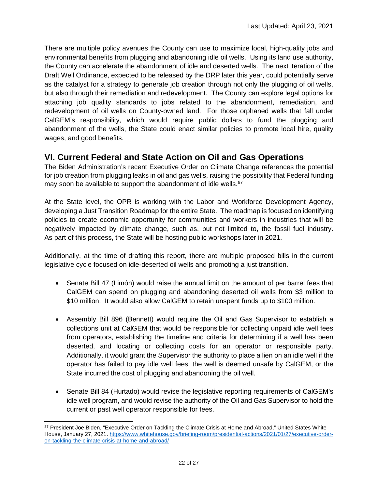There are multiple policy avenues the County can use to maximize local, high-quality jobs and environmental benefits from plugging and abandoning idle oil wells. Using its land use authority, the County can accelerate the abandonment of idle and deserted wells. The next iteration of the Draft Well Ordinance, expected to be released by the DRP later this year, could potentially serve as the catalyst for a strategy to generate job creation through not only the plugging of oil wells, but also through their remediation and redevelopment. The County can explore legal options for attaching job quality standards to jobs related to the abandonment, remediation, and redevelopment of oil wells on County-owned land. For those orphaned wells that fall under CalGEM's responsibility, which would require public dollars to fund the plugging and abandonment of the wells, the State could enact similar policies to promote local hire, quality wages, and good benefits.

### <span id="page-29-0"></span>**VI. Current Federal and State Action on Oil and Gas Operations**

The Biden Administration's recent Executive Order on Climate Change references the potential for job creation from plugging leaks in oil and gas wells, raising the possibility that Federal funding may soon be available to support the abandonment of idle wells.<sup>[87](#page-29-1)</sup>

At the State level, the OPR is working with the Labor and Workforce Development Agency, developing a Just Transition Roadmap for the entire State. The roadmap is focused on identifying policies to create economic opportunity for communities and workers in industries that will be negatively impacted by climate change, such as, but not limited to, the fossil fuel industry. As part of this process, the State will be hosting public workshops later in 2021.

Additionally, at the time of drafting this report, there are multiple proposed bills in the current legislative cycle focused on idle-deserted oil wells and promoting a just transition.

- Senate Bill 47 (Limón) would raise the annual limit on the amount of per barrel fees that CalGEM can spend on plugging and abandoning deserted oil wells from \$3 million to \$10 million. It would also allow CalGEM to retain unspent funds up to \$100 million.
- Assembly Bill 896 (Bennett) would require the Oil and Gas Supervisor to establish a collections unit at CalGEM that would be responsible for collecting unpaid idle well fees from operators, establishing the timeline and criteria for determining if a well has been deserted, and locating or collecting costs for an operator or responsible party. Additionally, it would grant the Supervisor the authority to place a lien on an idle well if the operator has failed to pay idle well fees, the well is deemed unsafe by CalGEM, or the State incurred the cost of plugging and abandoning the oil well.
- Senate Bill 84 (Hurtado) would revise the legislative reporting requirements of CalGEM's idle well program, and would revise the authority of the Oil and Gas Supervisor to hold the current or past well operator responsible for fees.

<span id="page-29-1"></span><sup>87</sup> President Joe Biden, "Executive Order on Tackling the Climate Crisis at Home and Abroad," United States White House, January 27, 2021[. https://www.whitehouse.gov/briefing-room/presidential-actions/2021/01/27/executive-order](https://www.whitehouse.gov/briefing-room/presidential-actions/2021/01/27/executive-order-on-tackling-the-climate-crisis-at-home-and-abroad/)[on-tackling-the-climate-crisis-at-home-and-abroad/](https://www.whitehouse.gov/briefing-room/presidential-actions/2021/01/27/executive-order-on-tackling-the-climate-crisis-at-home-and-abroad/)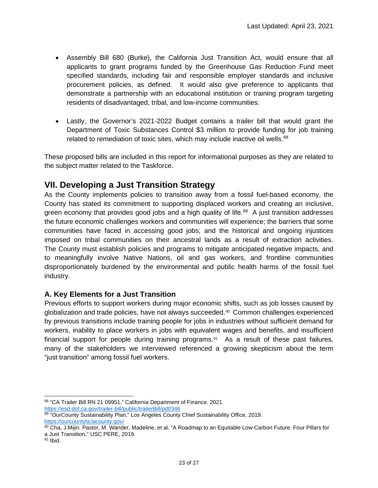- Assembly Bill 680 (Burke), the California Just Transition Act, would ensure that all applicants to grant programs funded by the Greenhouse Gas Reduction Fund meet specified standards, including fair and responsible employer standards and inclusive procurement policies, as defined. It would also give preference to applicants that demonstrate a partnership with an educational institution or training program targeting residents of disadvantaged, tribal, and low-income communities.
- Lastly, the Governor's 2021-2022 Budget contains a trailer bill that would grant the Department of Toxic Substances Control \$3 million to provide funding for job training related to remediation of toxic sites, which may include inactive oil wells.<sup>[88](#page-30-2)</sup>

These proposed bills are included in this report for informational purposes as they are related to the subject matter related to the Taskforce.

### <span id="page-30-0"></span>**VII. Developing a Just Transition Strategy**

As the County implements policies to transition away from a fossil fuel-based economy, the County has stated its commitment to supporting displaced workers and creating an inclusive, green economy that provides good jobs and a high quality of life.<sup>[89](#page-30-3)</sup> A just transition addresses the future economic challenges workers and communities will experience; the barriers that some communities have faced in accessing good jobs; and the historical and ongoing injustices imposed on tribal communities on their ancestral lands as a result of extraction activities. The County must establish policies and programs to mitigate anticipated negative impacts, and to meaningfully involve Native Nations, oil and gas workers, and frontline communities disproportionately burdened by the environmental and public health harms of the fossil fuel industry.

### <span id="page-30-1"></span>**A. Key Elements for a Just Transition**

Previous efforts to support workers during major economic shifts, such as job losses caused by globalization and trade policies, have not always succeeded.[90](#page-30-4) Common challenges experienced by previous transitions include training people for jobs in industries without sufficient demand for workers, inability to place workers in jobs with equivalent wages and benefits, and insufficient financial support for people during training programs. $91$  As a result of these past failures, many of the stakeholders we interviewed referenced a growing skepticism about the term "just transition" among fossil fuel workers.

<span id="page-30-2"></span><sup>88 &</sup>quot;CA Trailer Bill RN 21 09951," California Department of Finance. 2021. <https://esd.dof.ca.gov/trailer-bill/public/trailerBill/pdf/346>

<span id="page-30-3"></span><sup>89 &</sup>quot;OurCounty Sustainability Plan," Los Angeles County Chief Sustainability Office, 2019.<br>https://ourcountyla.lacounty.gov/

<span id="page-30-4"></span><sup>90</sup> Cha, J.Mijin. Pastor, M. Wander, Madeline, et al, "A Roadmap to an Equitable Low-Carbon Future: Four Pillars for a Just Transition," USC PERE, 2019.

<span id="page-30-5"></span><sup>91</sup> Ibid.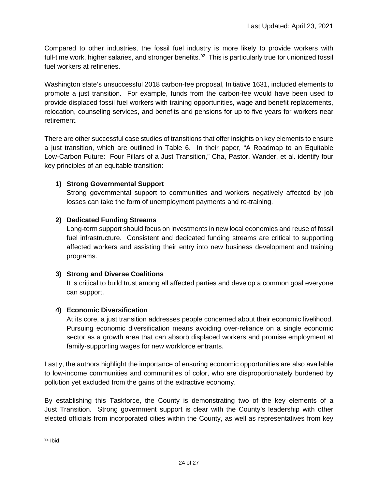Compared to other industries, the fossil fuel industry is more likely to provide workers with full-time work, higher salaries, and stronger benefits.<sup>[92](#page-31-0)</sup> This is particularly true for unionized fossil fuel workers at refineries.

Washington state's unsuccessful 2018 carbon-fee proposal, Initiative 1631, included elements to promote a just transition. For example, funds from the carbon-fee would have been used to provide displaced fossil fuel workers with training opportunities, wage and benefit replacements, relocation, counseling services, and benefits and pensions for up to five years for workers near retirement.

There are other successful case studies of transitions that offer insights on key elements to ensure a just transition, which are outlined in Table 6. In their paper, "A Roadmap to an Equitable Low-Carbon Future: Four Pillars of a Just Transition," Cha, Pastor, Wander, et al. identify four key principles of an equitable transition:

### **1) Strong Governmental Support**

Strong governmental support to communities and workers negatively affected by job losses can take the form of unemployment payments and re-training.

### **2) Dedicated Funding Streams**

Long-term support should focus on investments in new local economies and reuse of fossil fuel infrastructure. Consistent and dedicated funding streams are critical to supporting affected workers and assisting their entry into new business development and training programs.

### **3) Strong and Diverse Coalitions**

It is critical to build trust among all affected parties and develop a common goal everyone can support.

### **4) Economic Diversification**

At its core, a just transition addresses people concerned about their economic livelihood. Pursuing economic diversification means avoiding over-reliance on a single economic sector as a growth area that can absorb displaced workers and promise employment at family-supporting wages for new workforce entrants.

Lastly, the authors highlight the importance of ensuring economic opportunities are also available to low-income communities and communities of color, who are disproportionately burdened by pollution yet excluded from the gains of the extractive economy.

By establishing this Taskforce, the County is demonstrating two of the key elements of a Just Transition. Strong government support is clear with the County's leadership with other elected officials from incorporated cities within the County, as well as representatives from key

<span id="page-31-0"></span> $92$  Ibid.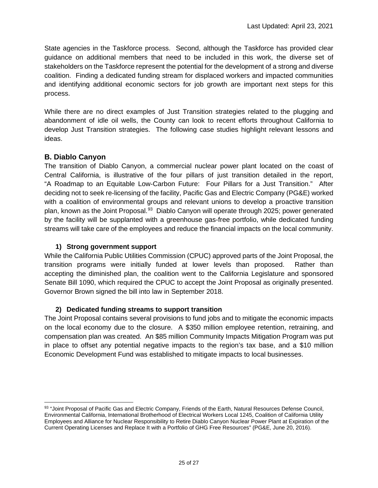State agencies in the Taskforce process. Second, although the Taskforce has provided clear guidance on additional members that need to be included in this work, the diverse set of stakeholders on the Taskforce represent the potential for the development of a strong and diverse coalition. Finding a dedicated funding stream for displaced workers and impacted communities and identifying additional economic sectors for job growth are important next steps for this process.

While there are no direct examples of Just Transition strategies related to the plugging and abandonment of idle oil wells, the County can look to recent efforts throughout California to develop Just Transition strategies. The following case studies highlight relevant lessons and ideas.

### <span id="page-32-0"></span>**B. Diablo Canyon**

The transition of Diablo Canyon, a commercial nuclear power plant located on the coast of Central California, is illustrative of the four pillars of just transition detailed in the report, "A Roadmap to an Equitable Low-Carbon Future: Four Pillars for a Just Transition." After deciding not to seek re-licensing of the facility, Pacific Gas and Electric Company (PG&E) worked with a coalition of environmental groups and relevant unions to develop a proactive transition plan, known as the Joint Proposal.<sup>[93](#page-32-1)</sup> Diablo Canyon will operate through 2025; power generated by the facility will be supplanted with a greenhouse gas-free portfolio, while dedicated funding streams will take care of the employees and reduce the financial impacts on the local community.

### **1) Strong government support**

While the California Public Utilities Commission (CPUC) approved parts of the Joint Proposal, the transition programs were initially funded at lower levels than proposed. Rather than accepting the diminished plan, the coalition went to the California Legislature and sponsored Senate Bill 1090, which required the CPUC to accept the Joint Proposal as originally presented. Governor Brown signed the bill into law in September 2018.

### **2) Dedicated funding streams to support transition**

The Joint Proposal contains several provisions to fund jobs and to mitigate the economic impacts on the local economy due to the closure. A \$350 million employee retention, retraining, and compensation plan was created. An \$85 million Community Impacts Mitigation Program was put in place to offset any potential negative impacts to the region's tax base, and a \$10 million Economic Development Fund was established to mitigate impacts to local businesses.

<span id="page-32-1"></span><sup>93 &</sup>quot;Joint Proposal of Pacific Gas and Electric Company, Friends of the Earth, Natural Resources Defense Council, Environmental California, International Brotherhood of Electrical Workers Local 1245, Coalition of California Utility Employees and Alliance for Nuclear Responsibility to Retire Diablo Canyon Nuclear Power Plant at Expiration of the Current Operating Licenses and Replace It with a Portfolio of GHG Free Resources" (PG&E, June 20, 2016).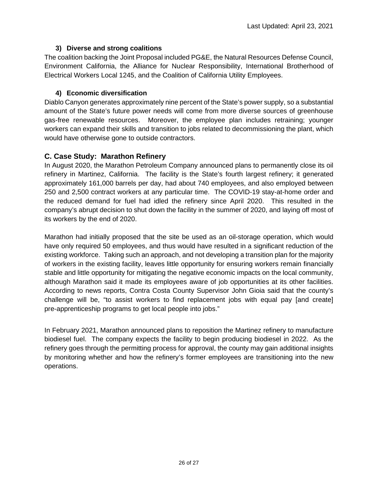#### **3) Diverse and strong coalitions**

The coalition backing the Joint Proposal included PG&E, the Natural Resources Defense Council, Environment California, the Alliance for Nuclear Responsibility, International Brotherhood of Electrical Workers Local 1245, and the Coalition of California Utility Employees.

#### **4) Economic diversification**

Diablo Canyon generates approximately nine percent of the State's power supply, so a substantial amount of the State's future power needs will come from more diverse sources of greenhouse gas-free renewable resources. Moreover, the employee plan includes retraining; younger workers can expand their skills and transition to jobs related to decommissioning the plant, which would have otherwise gone to outside contractors.

### <span id="page-33-0"></span>**C. Case Study: Marathon Refinery**

In August 2020, the Marathon Petroleum Company announced plans to permanently close its oil refinery in Martinez, California. The facility is the State's fourth largest refinery; it generated approximately 161,000 barrels per day, had about 740 employees, and also employed between 250 and 2,500 contract workers at any particular time. The COVID-19 stay-at-home order and the reduced demand for fuel had idled the refinery since April 2020. This resulted in the company's abrupt decision to shut down the facility in the summer of 2020, and laying off most of its workers by the end of 2020.

Marathon had initially proposed that the site be used as an oil-storage operation, which would have only required 50 employees, and thus would have resulted in a significant reduction of the existing workforce. Taking such an approach, and not developing a transition plan for the majority of workers in the existing facility, leaves little opportunity for ensuring workers remain financially stable and little opportunity for mitigating the negative economic impacts on the local community, although Marathon said it made its employees aware of job opportunities at its other facilities. According to news reports, Contra Costa County Supervisor John Gioia said that the county's challenge will be, "to assist workers to find replacement jobs with equal pay [and create] pre-apprenticeship programs to get local people into jobs."

In February 2021, Marathon announced plans to reposition the Martinez refinery to manufacture biodiesel fuel. The company expects the facility to begin producing biodiesel in 2022. As the refinery goes through the permitting process for approval, the county may gain additional insights by monitoring whether and how the refinery's former employees are transitioning into the new operations.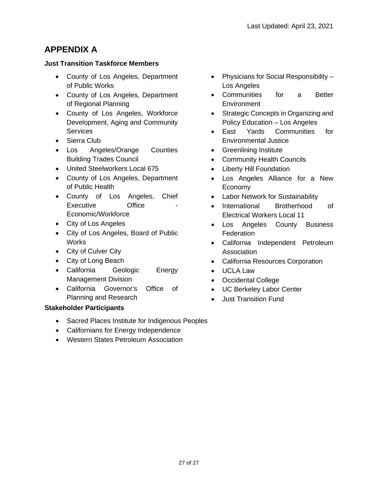# **APPENDIX A**

#### **Just Transition Taskforce Members**

- County of Los Angeles, Department of Public Works
- County of Los Angeles, Department of Regional Planning
- County of Los Angeles, Workforce Development, Aging and Community **Services**
- Sierra Club
- Los Angeles/Orange Counties Building Trades Council
- United Steelworkers Local 675
- County of Los Angeles, Department of Public Health
- County of Los Angeles, Chief Executive **Office** Economic/Workforce
- City of Los Angeles
- City of Los Angeles, Board of Public Works
- City of Culver City
- City of Long Beach
- California Geologic Energy Management Division
- California Governor's Office of Planning and Research

### **Stakeholder Participants**

- Sacred Places Institute for Indigenous Peoples
- Californians for Energy Independence
- Western States Petroleum Association
- Physicians for Social Responsibility Los Angeles
- Communities for a Better **Environment**
- Strategic Concepts in Organizing and Policy Education – Los Angeles
- East Yards Communities for Environmental Justice
- Greenlining Institute
- Community Health Councils
- Liberty Hill Foundation
- Los Angeles Alliance for a New Economy
- Labor Network for Sustainability
- International Brotherhood of Electrical Workers Local 11
- Los Angeles County Business **Federation**
- California Independent Petroleum **Association**
- California Resources Corporation
- UCLA Law
- Occidental College
- UC Berkeley Labor Center
- Just Transition Fund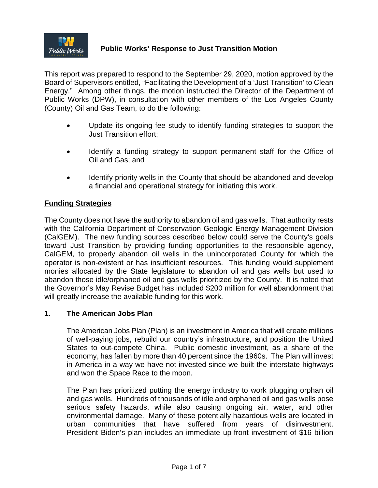

This report was prepared to respond to the September 29, 2020, motion approved by the Board of Supervisors entitled, "Facilitating the Development of a 'Just Transition' to Clean Energy." Among other things, the motion instructed the Director of the Department of Public Works (DPW), in consultation with other members of the Los Angeles County (County) Oil and Gas Team, to do the following:

- Update its ongoing fee study to identify funding strategies to support the Just Transition effort;
- Identify a funding strategy to support permanent staff for the Office of Oil and Gas; and
- Identify priority wells in the County that should be abandoned and develop a financial and operational strategy for initiating this work.

### **Funding Strategies**

The County does not have the authority to abandon oil and gas wells. That authority rests with the California Department of Conservation Geologic Energy Management Division (CalGEM). The new funding sources described below could serve the County's goals toward Just Transition by providing funding opportunities to the responsible agency, CalGEM, to properly abandon oil wells in the unincorporated County for which the operator is non-existent or has insufficient resources. This funding would supplement monies allocated by the State legislature to abandon oil and gas wells but used to abandon those idle/orphaned oil and gas wells prioritized by the County. It is noted that the Governor's May Revise Budget has included \$200 million for well abandonment that will greatly increase the available funding for this work.

### **1**. **The American Jobs Plan**

The American Jobs Plan (Plan) is an investment in America that will create millions of well-paying jobs, rebuild our country's infrastructure, and position the United States to out-compete China. Public domestic investment, as a share of the economy, has fallen by more than 40 percent since the 1960s. The Plan will invest in America in a way we have not invested since we built the interstate highways and won the Space Race to the moon.

The Plan has prioritized putting the energy industry to work plugging orphan oil and gas wells. Hundreds of thousands of idle and orphaned oil and gas wells pose serious safety hazards, while also causing ongoing air, water, and other environmental damage. Many of these potentially hazardous wells are located in urban communities that have suffered from years of disinvestment. President Biden's plan includes an immediate up-front investment of \$16 billion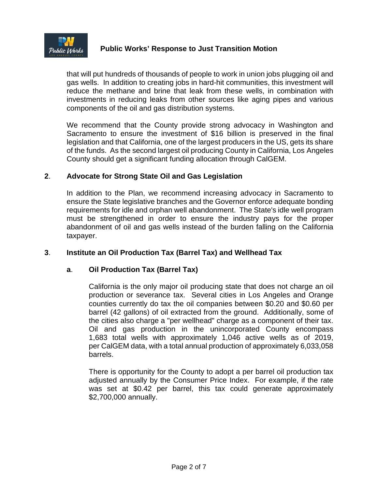

that will put hundreds of thousands of people to work in union jobs plugging oil and gas wells. In addition to creating jobs in hard-hit communities, this investment will reduce the methane and brine that leak from these wells, in combination with investments in reducing leaks from other sources like aging pipes and various components of the oil and gas distribution systems.

We recommend that the County provide strong advocacy in Washington and Sacramento to ensure the investment of \$16 billion is preserved in the final legislation and that California, one of the largest producers in the US, gets its share of the funds. As the second largest oil producing County in California, Los Angeles County should get a significant funding allocation through CalGEM.

### **2**. **Advocate for Strong State Oil and Gas Legislation**

In addition to the Plan, we recommend increasing advocacy in Sacramento to ensure the State legislative branches and the Governor enforce adequate bonding requirements for idle and orphan well abandonment. The State's idle well program must be strengthened in order to ensure the industry pays for the proper abandonment of oil and gas wells instead of the burden falling on the California taxpayer.

### **3**. **Institute an Oil Production Tax (Barrel Tax) and Wellhead Tax**

### **a**. **Oil Production Tax (Barrel Tax)**

California is the only major oil producing state that does not charge an oil production or severance tax. Several cities in Los Angeles and Orange counties currently do tax the oil companies between \$0.20 and \$0.60 per barrel (42 gallons) of oil extracted from the ground. Additionally, some of the cities also charge a "per wellhead" charge as a component of their tax. Oil and gas production in the unincorporated County encompass 1,683 total wells with approximately 1,046 active wells as of 2019, per CalGEM data, with a total annual production of approximately 6,033,058 barrels.

There is opportunity for the County to adopt a per barrel oil production tax adjusted annually by the Consumer Price Index. For example, if the rate was set at \$0.42 per barrel, this tax could generate approximately \$2,700,000 annually.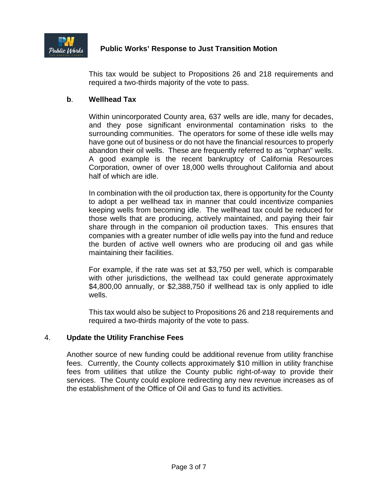

This tax would be subject to Propositions 26 and 218 requirements and required a two-thirds majority of the vote to pass.

### **b**. **Wellhead Tax**

Within unincorporated County area, 637 wells are idle, many for decades, and they pose significant environmental contamination risks to the surrounding communities. The operators for some of these idle wells may have gone out of business or do not have the financial resources to properly abandon their oil wells. These are frequently referred to as "orphan" wells. A good example is the recent bankruptcy of California Resources Corporation, owner of over 18,000 wells throughout California and about half of which are idle.

In combination with the oil production tax, there is opportunity for the County to adopt a per wellhead tax in manner that could incentivize companies keeping wells from becoming idle. The wellhead tax could be reduced for those wells that are producing, actively maintained, and paying their fair share through in the companion oil production taxes. This ensures that companies with a greater number of idle wells pay into the fund and reduce the burden of active well owners who are producing oil and gas while maintaining their facilities.

For example, if the rate was set at \$3,750 per well, which is comparable with other jurisdictions, the wellhead tax could generate approximately \$4,800,00 annually, or \$2,388,750 if wellhead tax is only applied to idle wells.

This tax would also be subject to Propositions 26 and 218 requirements and required a two-thirds majority of the vote to pass.

### 4. **Update the Utility Franchise Fees**

Another source of new funding could be additional revenue from utility franchise fees. Currently, the County collects approximately \$10 million in utility franchise fees from utilities that utilize the County public right-of-way to provide their services. The County could explore redirecting any new revenue increases as of the establishment of the Office of Oil and Gas to fund its activities.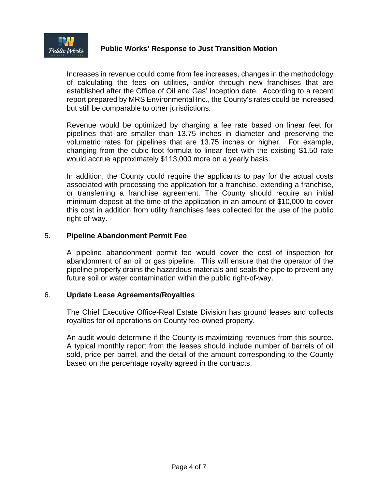

Increases in revenue could come from fee increases, changes in the methodology of calculating the fees on utilities, and/or through new franchises that are established after the Office of Oil and Gas' inception date. According to a recent report prepared by MRS Environmental Inc., the County's rates could be increased but still be comparable to other jurisdictions.

Revenue would be optimized by charging a fee rate based on linear feet for pipelines that are smaller than 13.75 inches in diameter and preserving the volumetric rates for pipelines that are 13.75 inches or higher. For example, changing from the cubic foot formula to linear feet with the existing \$1.50 rate would accrue approximately \$113,000 more on a yearly basis.

In addition, the County could require the applicants to pay for the actual costs associated with processing the application for a franchise, extending a franchise, or transferring a franchise agreement. The County should require an initial minimum deposit at the time of the application in an amount of \$10,000 to cover this cost in addition from utility franchises fees collected for the use of the public right-of-way.

### 5. **Pipeline Abandonment Permit Fee**

A pipeline abandonment permit fee would cover the cost of inspection for abandonment of an oil or gas pipeline. This will ensure that the operator of the pipeline properly drains the hazardous materials and seals the pipe to prevent any future soil or water contamination within the public right-of-way.

### 6. **Update Lease Agreements/Royalties**

The Chief Executive Office-Real Estate Division has ground leases and collects royalties for oil operations on County fee-owned property.

An audit would determine if the County is maximizing revenues from this source. A typical monthly report from the leases should include number of barrels of oil sold, price per barrel, and the detail of the amount corresponding to the County based on the percentage royalty agreed in the contracts.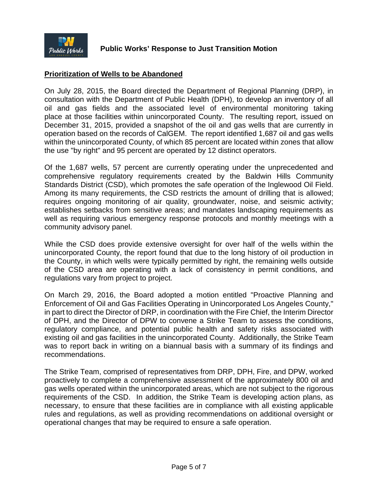

### **Prioritization of Wells to be Abandoned**

On July 28, 2015, the Board directed the Department of Regional Planning (DRP), in consultation with the Department of Public Health (DPH), to develop an inventory of all oil and gas fields and the associated level of environmental monitoring taking place at those facilities within unincorporated County. The resulting report, issued on December 31, 2015, provided a snapshot of the oil and gas wells that are currently in operation based on the records of CalGEM. The report identified 1,687 oil and gas wells within the unincorporated County, of which 85 percent are located within zones that allow the use "by right" and 95 percent are operated by 12 distinct operators.

Of the 1,687 wells, 57 percent are currently operating under the unprecedented and comprehensive regulatory requirements created by the Baldwin Hills Community Standards District (CSD), which promotes the safe operation of the Inglewood Oil Field. Among its many requirements, the CSD restricts the amount of drilling that is allowed; requires ongoing monitoring of air quality, groundwater, noise, and seismic activity; establishes setbacks from sensitive areas; and mandates landscaping requirements as well as requiring various emergency response protocols and monthly meetings with a community advisory panel.

While the CSD does provide extensive oversight for over half of the wells within the unincorporated County, the report found that due to the long history of oil production in the County, in which wells were typically permitted by right, the remaining wells outside of the CSD area are operating with a lack of consistency in permit conditions, and regulations vary from project to project.

On March 29, 2016, the Board adopted a motion entitled "Proactive Planning and Enforcement of Oil and Gas Facilities Operating in Unincorporated Los Angeles County," in part to direct the Director of DRP, in coordination with the Fire Chief, the Interim Director of DPH, and the Director of DPW to convene a Strike Team to assess the conditions, regulatory compliance, and potential public health and safety risks associated with existing oil and gas facilities in the unincorporated County. Additionally, the Strike Team was to report back in writing on a biannual basis with a summary of its findings and recommendations.

The Strike Team, comprised of representatives from DRP, DPH, Fire, and DPW, worked proactively to complete a comprehensive assessment of the approximately 800 oil and gas wells operated within the unincorporated areas, which are not subject to the rigorous requirements of the CSD. In addition, the Strike Team is developing action plans, as necessary, to ensure that these facilities are in compliance with all existing applicable rules and regulations, as well as providing recommendations on additional oversight or operational changes that may be required to ensure a safe operation.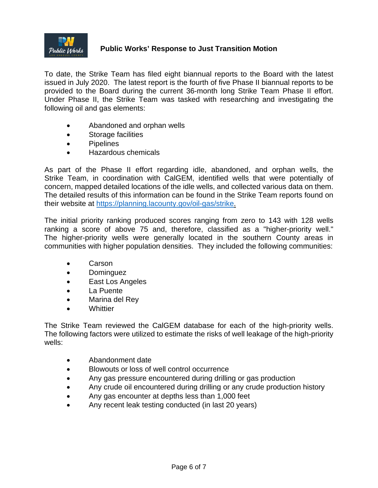

To date, the Strike Team has filed eight biannual reports to the Board with the latest issued in July 2020. The latest report is the fourth of five Phase II biannual reports to be provided to the Board during the current 36-month long Strike Team Phase II effort. Under Phase II, the Strike Team was tasked with researching and investigating the following oil and gas elements:

- Abandoned and orphan wells
- Storage facilities
- Pipelines
- Hazardous chemicals

As part of the Phase II effort regarding idle, abandoned, and orphan wells, the Strike Team, in coordination with CalGEM, identified wells that were potentially of concern, mapped detailed locations of the idle wells, and collected various data on them. The detailed results of this information can be found in the Strike Team reports found on their website at [https://planning.lacounty.gov/oil-gas/strike.](https://planning.lacounty.gov/oil-gas/strike)

The initial priority ranking produced scores ranging from zero to 143 with 128 wells ranking a score of above 75 and, therefore, classified as a "higher-priority well." The higher-priority wells were generally located in the southern County areas in communities with higher population densities. They included the following communities:

- Carson
- Dominguez
- East Los Angeles
- La Puente
- Marina del Rey
- **Whittier**

The Strike Team reviewed the CalGEM database for each of the high-priority wells. The following factors were utilized to estimate the risks of well leakage of the high-priority wells:

- Abandonment date
- Blowouts or loss of well control occurrence
- Any gas pressure encountered during drilling or gas production
- Any crude oil encountered during drilling or any crude production history
- Any gas encounter at depths less than 1,000 feet
- Any recent leak testing conducted (in last 20 years)